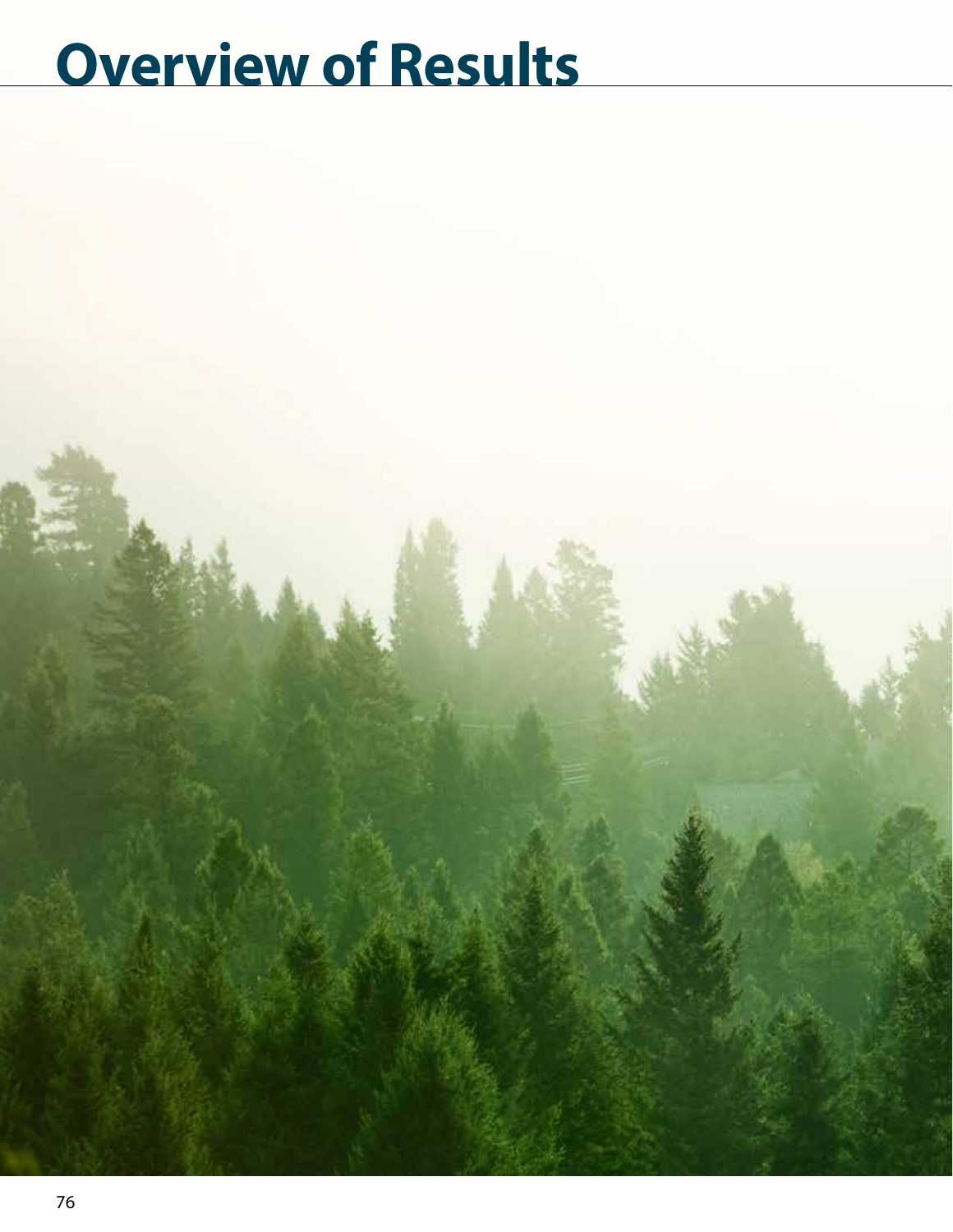# **Overview of Results**

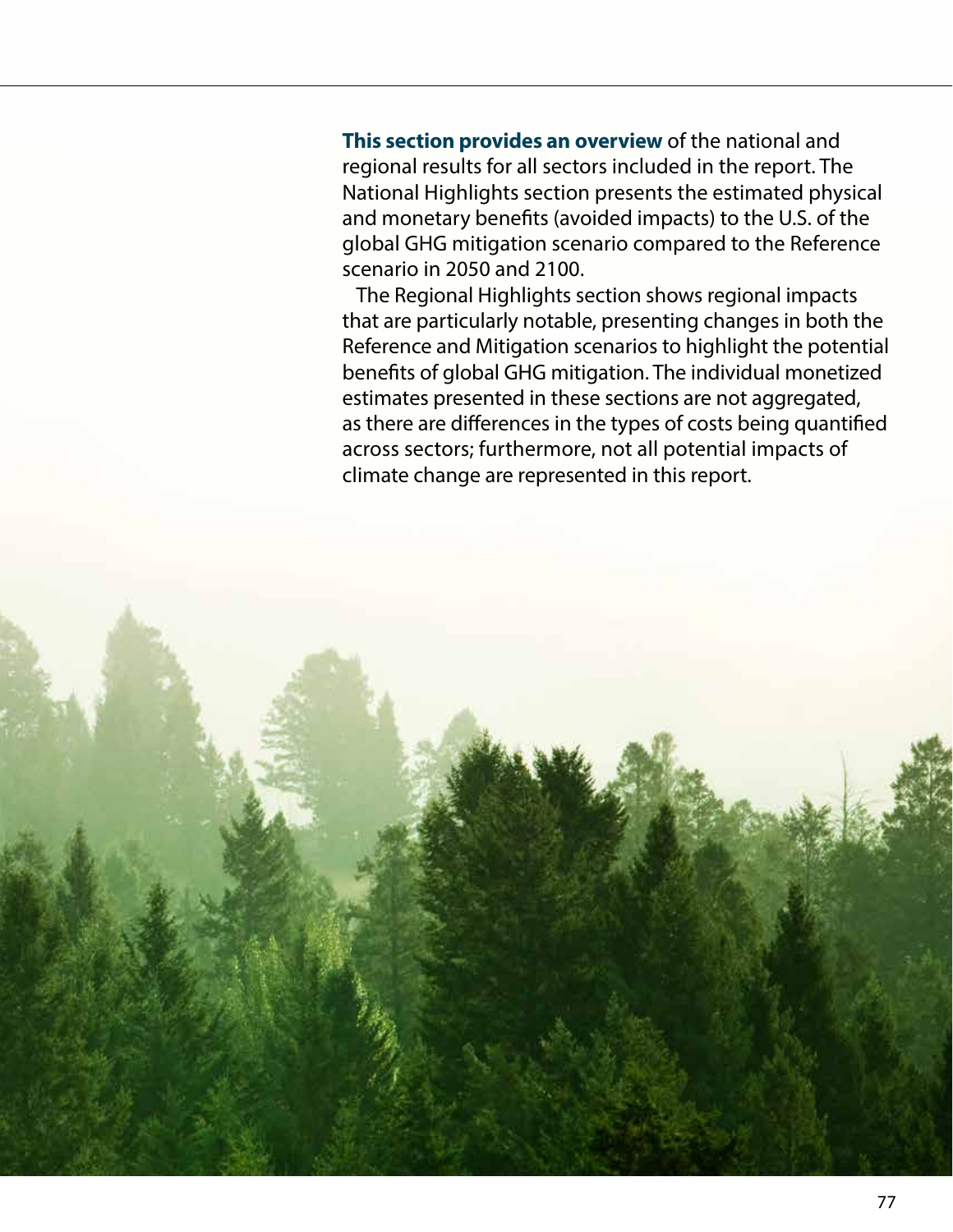**This section provides an overview** of the national and regional results for all sectors included in the report. The National Highlights section presents the estimated physical and monetary benefits (avoided impacts) to the U.S. of the global GHG mitigation scenario compared to the Reference scenario in 2050 and 2100.

The Regional Highlights section shows regional impacts that are particularly notable, presenting changes in both the Reference and Mitigation scenarios to highlight the potential benefits of global GHG mitigation. The individual monetized estimates presented in these sections are not aggregated, as there are differences in the types of costs being quantified across sectors; furthermore, not all potential impacts of climate change are represented in this report.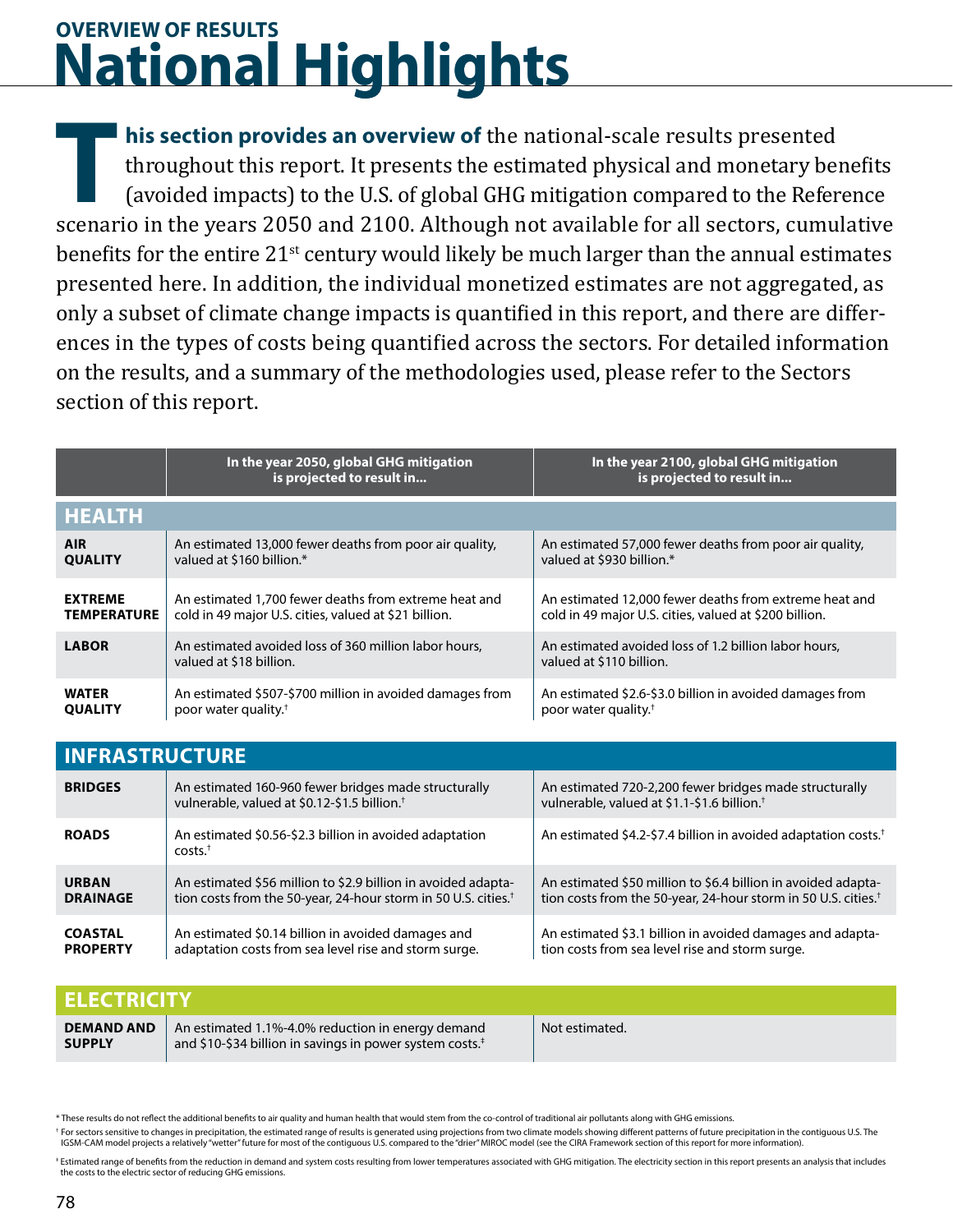## **National Highlights g gOVERVIEW OF RESULTS**

**his section provides an overview of** the national-scale results presented throughout this report. It presents the estimated physical and monetary benefits (avoided impacts) to the U.S. of global GHG mitigation compared to the Reference scenario in the years 2050 and 2100. Although not available for all sectors, cumulative benefits for the entire 21<sup>st</sup> century would likely be much larger than the annual estimates presented here. In addition, the individual monetized estimates are not aggregated, as only a subset of climate change impacts is quantified in this report, and there are differences in the types of costs being quantified across the sectors. For detailed information on the results, and a summary of the methodologies used, please refer to the Sectors section of this report. **T**<br>T<br>Scenar

|                                      | In the year 2050, global GHG mitigation<br>is projected to result in                                                                        | In the year 2100, global GHG mitigation<br>is projected to result in                                                                        |  |  |
|--------------------------------------|---------------------------------------------------------------------------------------------------------------------------------------------|---------------------------------------------------------------------------------------------------------------------------------------------|--|--|
| <b>HEALTH</b>                        |                                                                                                                                             |                                                                                                                                             |  |  |
| <b>AIR</b><br><b>QUALITY</b>         | An estimated 13,000 fewer deaths from poor air quality,<br>valued at \$160 billion.*                                                        | An estimated 57,000 fewer deaths from poor air quality,<br>valued at \$930 billion.*                                                        |  |  |
| <b>EXTREME</b><br><b>TEMPERATURE</b> | An estimated 1,700 fewer deaths from extreme heat and<br>cold in 49 major U.S. cities, valued at \$21 billion.                              | An estimated 12,000 fewer deaths from extreme heat and<br>cold in 49 major U.S. cities, valued at \$200 billion.                            |  |  |
| <b>LABOR</b>                         | An estimated avoided loss of 360 million labor hours.<br>valued at \$18 billion.                                                            | An estimated avoided loss of 1.2 billion labor hours,<br>valued at \$110 billion.                                                           |  |  |
| <b>WATER</b><br><b>OUALITY</b>       | An estimated \$507-\$700 million in avoided damages from<br>poor water quality. <sup>†</sup>                                                | An estimated \$2.6-\$3.0 billion in avoided damages from<br>poor water quality. <sup>†</sup>                                                |  |  |
| <b>INFRASTRUCTURE</b>                |                                                                                                                                             |                                                                                                                                             |  |  |
| <b>BRIDGES</b>                       | An estimated 160-960 fewer bridges made structurally<br>vulnerable, valued at \$0.12-\$1.5 billion. <sup>†</sup>                            | An estimated 720-2,200 fewer bridges made structurally<br>vulnerable, valued at \$1.1-\$1.6 billion. <sup>†</sup>                           |  |  |
| <b>ROADS</b>                         | An estimated \$0.56-\$2.3 billion in avoided adaptation<br>$costs.+$                                                                        | An estimated \$4.2-\$7.4 billion in avoided adaptation costs. <sup>†</sup>                                                                  |  |  |
| <b>URBAN</b><br><b>DRAINAGE</b>      | An estimated \$56 million to \$2.9 billion in avoided adapta-<br>tion costs from the 50-year, 24-hour storm in 50 U.S. cities. <sup>†</sup> | An estimated \$50 million to \$6.4 billion in avoided adapta-<br>tion costs from the 50-year, 24-hour storm in 50 U.S. cities. <sup>†</sup> |  |  |
| <b>COASTAL</b><br><b>PROPERTY</b>    | An estimated \$0.14 billion in avoided damages and<br>adaptation costs from sea level rise and storm surge.                                 | An estimated \$3.1 billion in avoided damages and adapta-<br>tion costs from sea level rise and storm surge.                                |  |  |

| <b>ELECTRICITY</b>                 |                                                                                                                           |                |
|------------------------------------|---------------------------------------------------------------------------------------------------------------------------|----------------|
| <b>DEMAND AND</b><br><b>SUPPLY</b> | An estimated 1.1%-4.0% reduction in energy demand<br>and \$10-\$34 billion in savings in power system costs. <sup>#</sup> | Not estimated. |

\* These results do not reflect the additional benefits to air quality and human health that would stem from the co-control of traditional air pollutants along with GHG emissions.

† For sectors sensitive to changes in precipitation, the estimated range of results is generated using projections from two climate models showing different patterns of future precipitation in the contiguous U.S. The IGSM-CAM model projects a relatively "wetter" future for most of the contiguous U.S. compared to the "drier" MIROC model (see the CIRA Framework section of this report for more information).

‡ Estimated range of benefits from the reduction in demand and system costs resulting from lower temperatures associated with GHG mitigation. The electricity section in this report presents an analysis that includes the costs to the electric sector of reducing GHG emissions.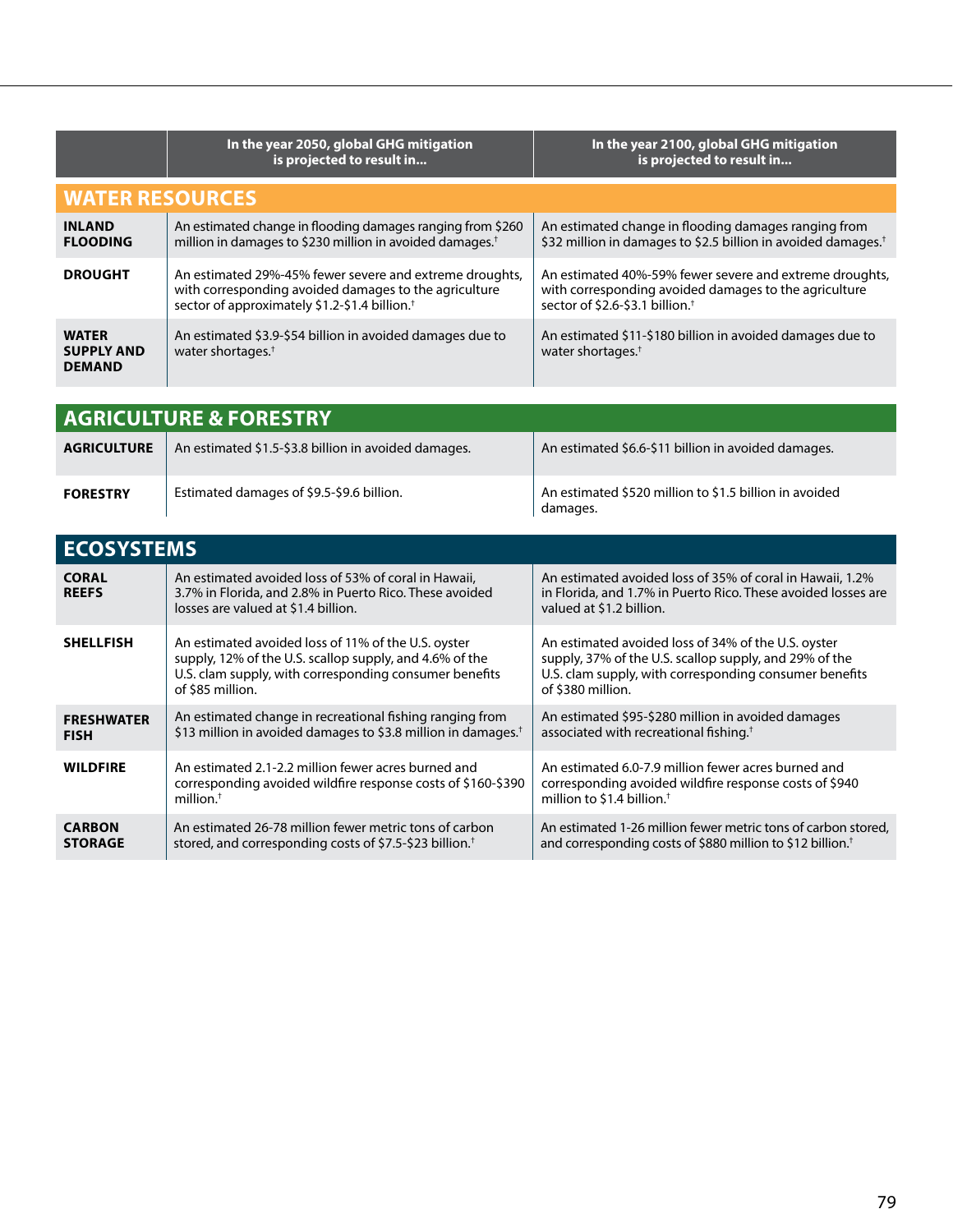|                                                    | In the year 2050, global GHG mitigation<br>is projected to result in                                                                                                          | In the year 2100, global GHG mitigation<br>is projected to result in                                                                                            |  |
|----------------------------------------------------|-------------------------------------------------------------------------------------------------------------------------------------------------------------------------------|-----------------------------------------------------------------------------------------------------------------------------------------------------------------|--|
| <b>WATER RESOURCES</b>                             |                                                                                                                                                                               |                                                                                                                                                                 |  |
| <b>INLAND</b><br><b>FLOODING</b>                   | An estimated change in flooding damages ranging from \$260<br>million in damages to \$230 million in avoided damages. <sup>†</sup>                                            | An estimated change in flooding damages ranging from<br>\$32 million in damages to \$2.5 billion in avoided damages. <sup>†</sup>                               |  |
| <b>DROUGHT</b>                                     | An estimated 29%-45% fewer severe and extreme droughts,<br>with corresponding avoided damages to the agriculture<br>sector of approximately \$1.2-\$1.4 billion. <sup>+</sup> | An estimated 40%-59% fewer severe and extreme droughts,<br>with corresponding avoided damages to the agriculture<br>sector of \$2.6-\$3.1 billion. <sup>+</sup> |  |
| <b>WATER</b><br><b>SUPPLY AND</b><br><b>DEMAND</b> | An estimated \$3.9-\$54 billion in avoided damages due to<br>water shortages. $†$                                                                                             | An estimated \$11-\$180 billion in avoided damages due to<br>water shortages. <sup>†</sup>                                                                      |  |

| <b>AGRICULTURE &amp; FORESTRY</b> |                                                      |                                                                    |
|-----------------------------------|------------------------------------------------------|--------------------------------------------------------------------|
| <b>AGRICULTURE</b>                | An estimated \$1.5-\$3.8 billion in avoided damages. | An estimated \$6.6-\$11 billion in avoided damages.                |
| <b>FORESTRY</b>                   | Estimated damages of \$9.5-\$9.6 billion.            | An estimated \$520 million to \$1.5 billion in avoided<br>damages. |

| <b>ECOSYSTEMS</b>                |                                                                                                                                                                                              |                                                                                                                                                                                              |
|----------------------------------|----------------------------------------------------------------------------------------------------------------------------------------------------------------------------------------------|----------------------------------------------------------------------------------------------------------------------------------------------------------------------------------------------|
| <b>CORAL</b><br><b>REEFS</b>     | An estimated avoided loss of 53% of coral in Hawaii,<br>3.7% in Florida, and 2.8% in Puerto Rico. These avoided<br>losses are valued at \$1.4 billion.                                       | An estimated avoided loss of 35% of coral in Hawaii, 1.2%<br>in Florida, and 1.7% in Puerto Rico. These avoided losses are<br>valued at \$1.2 billion.                                       |
| <b>SHELLFISH</b>                 | An estimated avoided loss of 11% of the U.S. oyster<br>supply, 12% of the U.S. scallop supply, and 4.6% of the<br>U.S. clam supply, with corresponding consumer benefits<br>of \$85 million. | An estimated avoided loss of 34% of the U.S. oyster<br>supply, 37% of the U.S. scallop supply, and 29% of the<br>U.S. clam supply, with corresponding consumer benefits<br>of \$380 million. |
| <b>FRESHWATER</b><br><b>FISH</b> | An estimated change in recreational fishing ranging from<br>\$13 million in avoided damages to \$3.8 million in damages. <sup>†</sup>                                                        | An estimated \$95-\$280 million in avoided damages<br>associated with recreational fishing. <sup>+</sup>                                                                                     |
| <b>WILDFIRE</b>                  | An estimated 2.1-2.2 million fewer acres burned and<br>corresponding avoided wildfire response costs of \$160-\$390<br>million. $†$                                                          | An estimated 6.0-7.9 million fewer acres burned and<br>corresponding avoided wildfire response costs of \$940<br>million to \$1.4 billion. <sup>+</sup>                                      |
| <b>CARBON</b><br><b>STORAGE</b>  | An estimated 26-78 million fewer metric tons of carbon<br>stored, and corresponding costs of \$7.5-\$23 billion. <sup>†</sup>                                                                | An estimated 1-26 million fewer metric tons of carbon stored,<br>and corresponding costs of \$880 million to \$12 billion. <sup>†</sup>                                                      |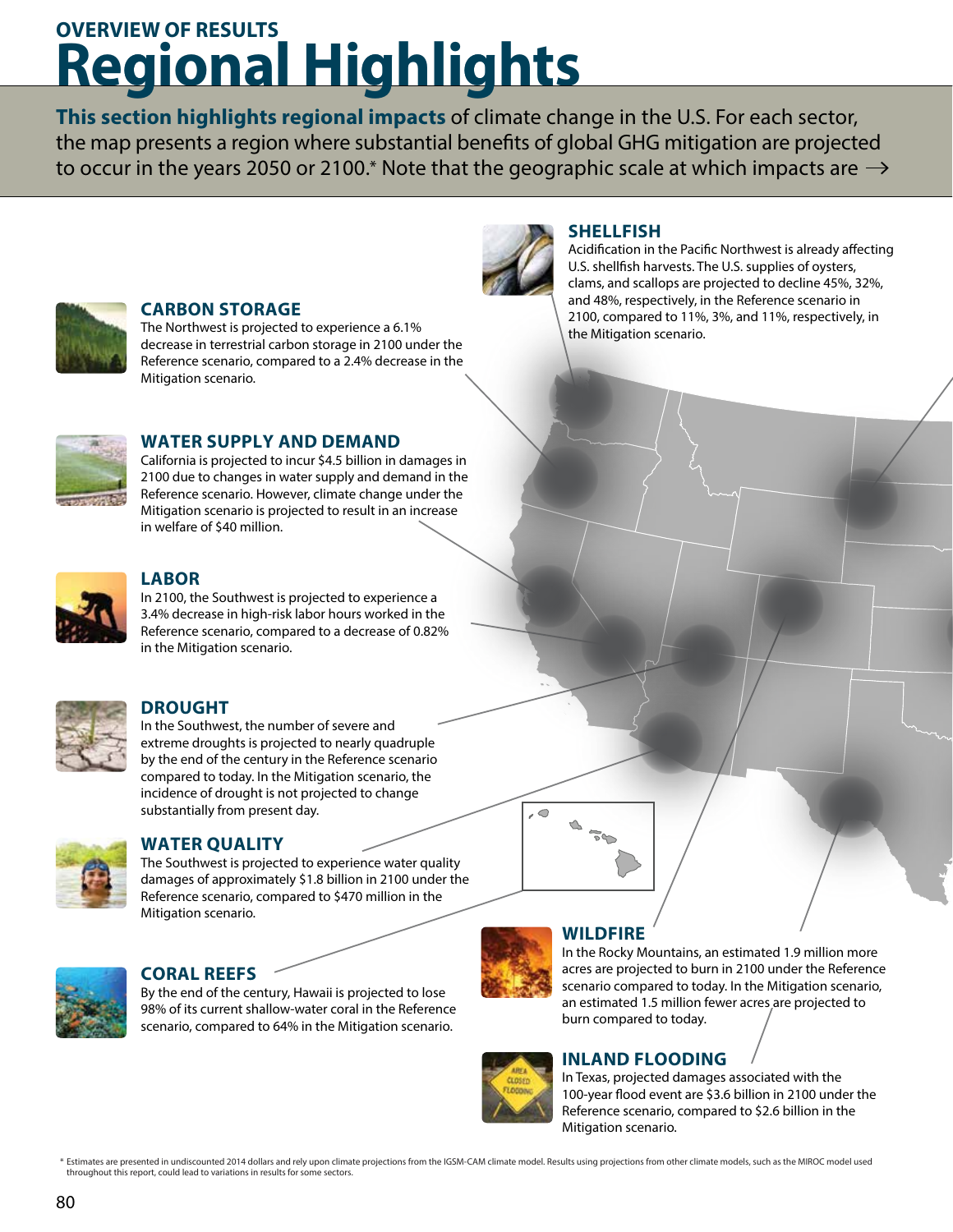## **Regional Highlights g g gOVERVIEW OF RESULTS**

**This section highlights regional impacts** of climate change in the U.S. For each sector, the map presents a region where substantial benefits of global GHG mitigation are projected to occur in the years 2050 or 2100.\* Note that the geographic scale at which impacts are  $\rightarrow$ 



## **CARBON STORAGE**

The Northwest is projected to experience a 6.1% decrease in terrestrial carbon storage in 2100 under the Reference scenario, compared to a 2.4% decrease in the Mitigation scenario.



## **WATER SUPPLY AND DEMAND**

California is projected to incur \$4.5 billion in damages in 2100 due to changes in water supply and demand in the Reference scenario. However, climate change under the Mitigation scenario is projected to result in an increase in welfare of \$40 million.



## **LABOR**

In 2100, the Southwest is projected to experience a 3.4% decrease in high-risk labor hours worked in the Reference scenario, compared to a decrease of 0.82% in the Mitigation scenario.



## **DROUGHT**

In the Southwest, the number of severe and extreme droughts is projected to nearly quadruple by the end of the century in the Reference scenario compared to today. In the Mitigation scenario, the incidence of drought is not projected to change substantially from present day.



## **WATER QUALITY**

The Southwest is projected to experience water quality damages of approximately \$1.8 billion in 2100 under the Reference scenario, compared to \$470 million in the Mitigation scenario.



## **CORAL REEFS**

By the end of the century, Hawaii is projected to lose 98% of its current shallow-water coral in the Reference scenario, compared to 64% in the Mitigation scenario.



 $\overline{\mathcal{L}}$ 

## **WILDFIRE**

**SHELLFISH**

the Mitigation scenario.

Acidification in the Pacific Northwest is already affecting U.S. shellfish harvests. The U.S. supplies of oysters, clams, and scallops are projected to decline 45%, 32%, and 48%, respectively, in the Reference scenario in 2100, compared to 11%, 3%, and 11%, respectively, in

In the Rocky Mountains, an estimated 1.9 million more acres are projected to burn in 2100 under the Reference scenario compared to today. In the Mitigation scenario, an estimated 1.5 million fewer acres are projected to burn compared to today.

## **INLAND FLOODING**



Estimates are presented in undiscounted 2014 dollars and rely upon climate projections from the IGSM-CAM climate model. Results using projections from other climate models, such as the MIROC model used throughout this report, could lead to variations in results for some sectors. \*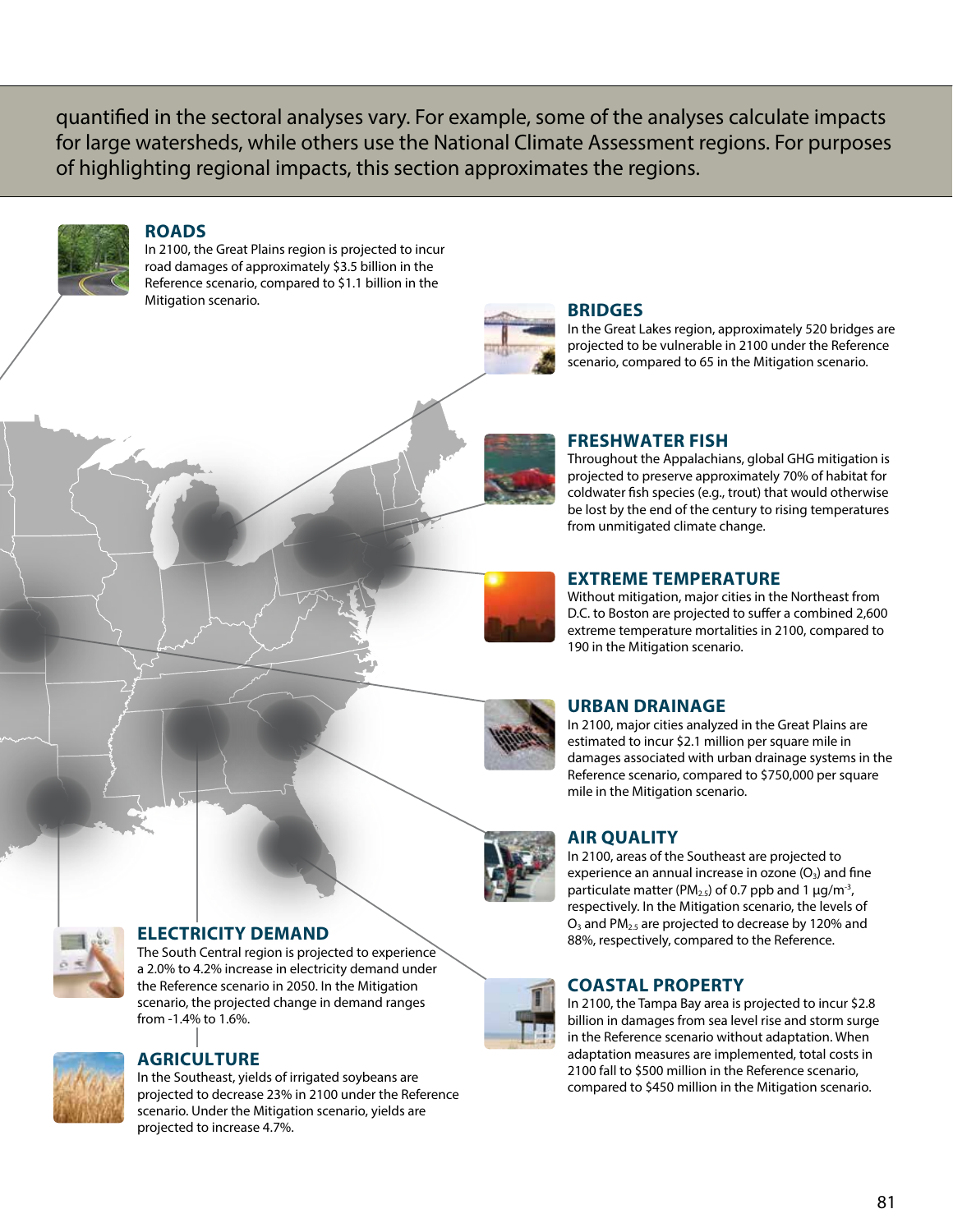quantified in the sectoral analyses vary. For example, some of the analyses calculate impacts for large watersheds, while others use the National Climate Assessment regions. For purposes of highlighting regional impacts, this section approximates the regions.



## **ROADS**

In 2100, the Great Plains region is projected to incur road damages of approximately \$3.5 billion in the Reference scenario, compared to \$1.1 billion in the Mitigation scenario.



## **BRIDGES**

In the Great Lakes region, approximately 520 bridges are projected to be vulnerable in 2100 under the Reference scenario, compared to 65 in the Mitigation scenario.

## **FRESHWATER FISH**

Throughout the Appalachians, global GHG mitigation is projected to preserve approximately 70% of habitat for coldwater fish species (e.g., trout) that would otherwise be lost by the end of the century to rising temperatures from unmitigated climate change.

### **EXTREME TEMPERATURE**

Without mitigation, major cities in the Northeast from D.C. to Boston are projected to suffer a combined 2,600 extreme temperature mortalities in 2100, compared to 190 in the Mitigation scenario.

## **URBAN DRAINAGE**

In 2100, major cities analyzed in the Great Plains are estimated to incur \$2.1 million per square mile in damages associated with urban drainage systems in the Reference scenario, compared to \$750,000 per square mile in the Mitigation scenario.



### **AIR QUALITY**

In 2100, areas of the Southeast are projected to experience an annual increase in ozone  $(O_3)$  and fine particulate matter (PM<sub>2.5</sub>) of 0.7 ppb and 1  $\mu$ g/m<sup>-3</sup>, respectively. In the Mitigation scenario, the levels of  $O_3$  and PM<sub>2.5</sub> are projected to decrease by 120% and 88%, respectively, compared to the Reference.

## **COASTAL PROPERTY**

In 2100, the Tampa Bay area is projected to incur \$2.8 billion in damages from sea level rise and storm surge in the Reference scenario without adaptation. When adaptation measures are implemented, total costs in 2100 fall to \$500 million in the Reference scenario, compared to \$450 million in the Mitigation scenario.



## **ELECTRICITY DEMAND**

The South Central region is projected to experience a 2.0% to 4.2% increase in electricity demand under the Reference scenario in 2050. In the Mitigation scenario, the projected change in demand ranges from -1.4% to 1.6%.



## **AGRICULTURE**

In the Southeast, yields of irrigated soybeans are projected to decrease 23% in 2100 under the Reference scenario. Under the Mitigation scenario, yields are projected to increase 4.7%.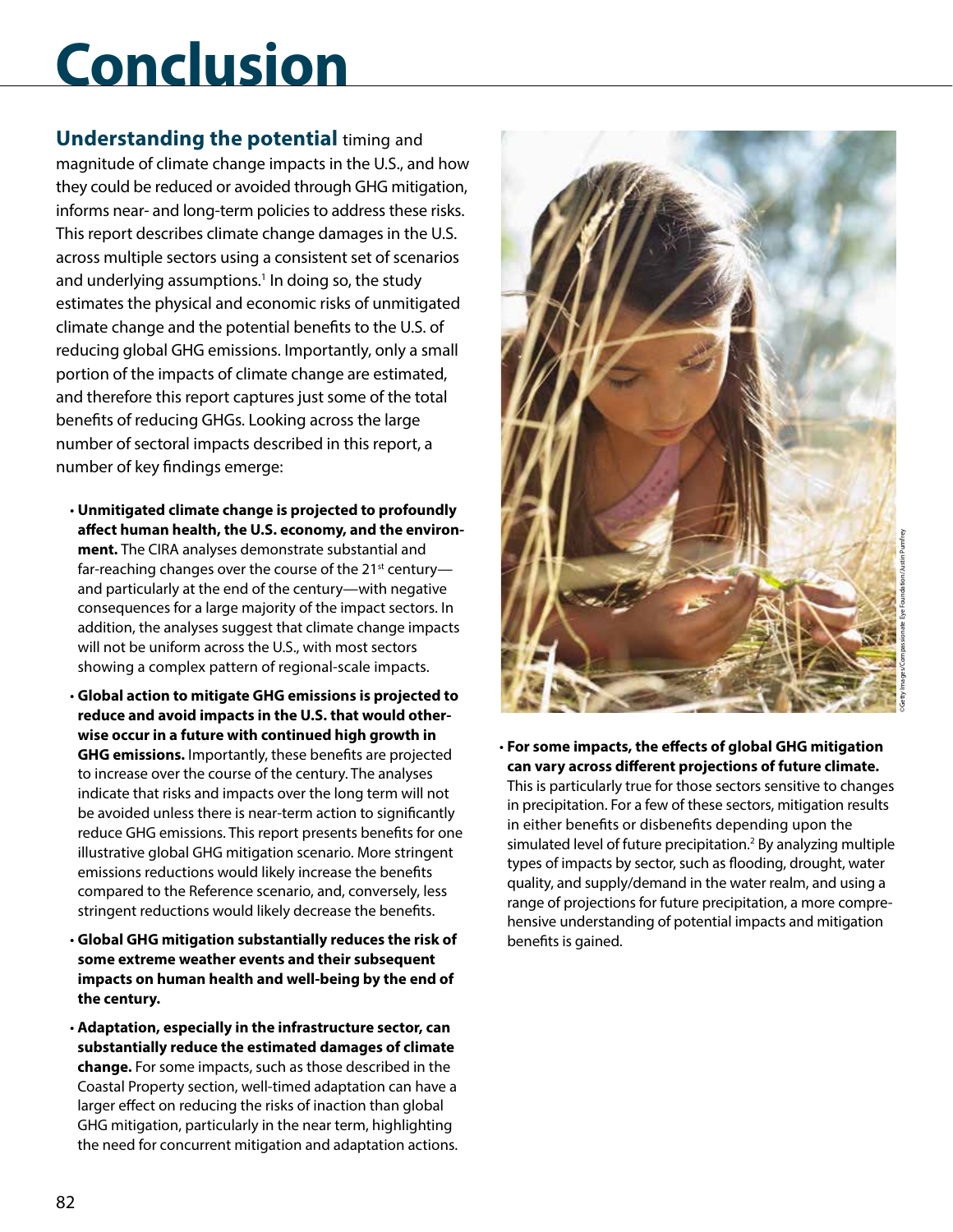# **Conclusion**

**Understanding the potential** timing and magnitude of climate change impacts in the U.S., and how they could be reduced or avoided through GHG mitigation, informs near- and long-term policies to address these risks. This report describes climate change damages in the U.S. across multiple sectors using a consistent set of scenarios and underlying assumptions.<sup>1</sup> In doing so, the study estimates the physical and economic risks of unmitigated climate change and the potential benefits to the U.S. of reducing global GHG emissions. Importantly, only a small portion of the impacts of climate change are estimated, and therefore this report captures just some of the total benefits of reducing GHGs. Looking across the large number of sectoral impacts described in this report, a number of key findings emerge:

- **Unmitigated climate change is projected to profoundly affect human health, the U.S. economy, and the environment.** The CIRA analyses demonstrate substantial and far-reaching changes over the course of the  $21^{st}$  century and particularly at the end of the century—with negative consequences for a large majority of the impact sectors. In addition, the analyses suggest that climate change impacts will not be uniform across the U.S., with most sectors showing a complex pattern of regional-scale impacts.
- **Global action to mitigate GHG emissions is projected to reduce and avoid impacts in the U.S. that would otherwise occur in a future with continued high growth in GHG emissions.** Importantly, these benefits are projected to increase over the course of the century. The analyses indicate that risks and impacts over the long term will not be avoided unless there is near-term action to significantly reduce GHG emissions. This report presents benefits for one illustrative global GHG mitigation scenario. More stringent emissions reductions would likely increase the benefits compared to the Reference scenario, and, conversely, less stringent reductions would likely decrease the benefits.
- **Global GHG mitigation substantially reduces the risk of some extreme weather events and their subsequent impacts on human health and well-being by the end of the century.**
- **Adaptation, especially in the infrastructure sector, can substantially reduce the estimated damages of climate change.** For some impacts, such as those described in the Coastal Property section, well-timed adaptation can have a larger effect on reducing the risks of inaction than global GHG mitigation, particularly in the near term, highlighting the need for concurrent mitigation and adaptation actions.



- ©Getty Images/Compassionate Eye Foundation/Justin Pumfrey
- **For some impacts, the effects of global GHG mitigation can vary across different projections of future climate.** This is particularly true for those sectors sensitive to changes in precipitation. For a few of these sectors, mitigation results in either benefits or disbenefits depending upon the simulated level of future precipitation.<sup>2</sup> By analyzing multiple types of impacts by sector, such as flooding, drought, water quality, and supply/demand in the water realm, and using a range of projections for future precipitation, a more comprehensive understanding of potential impacts and mitigation benefits is gained.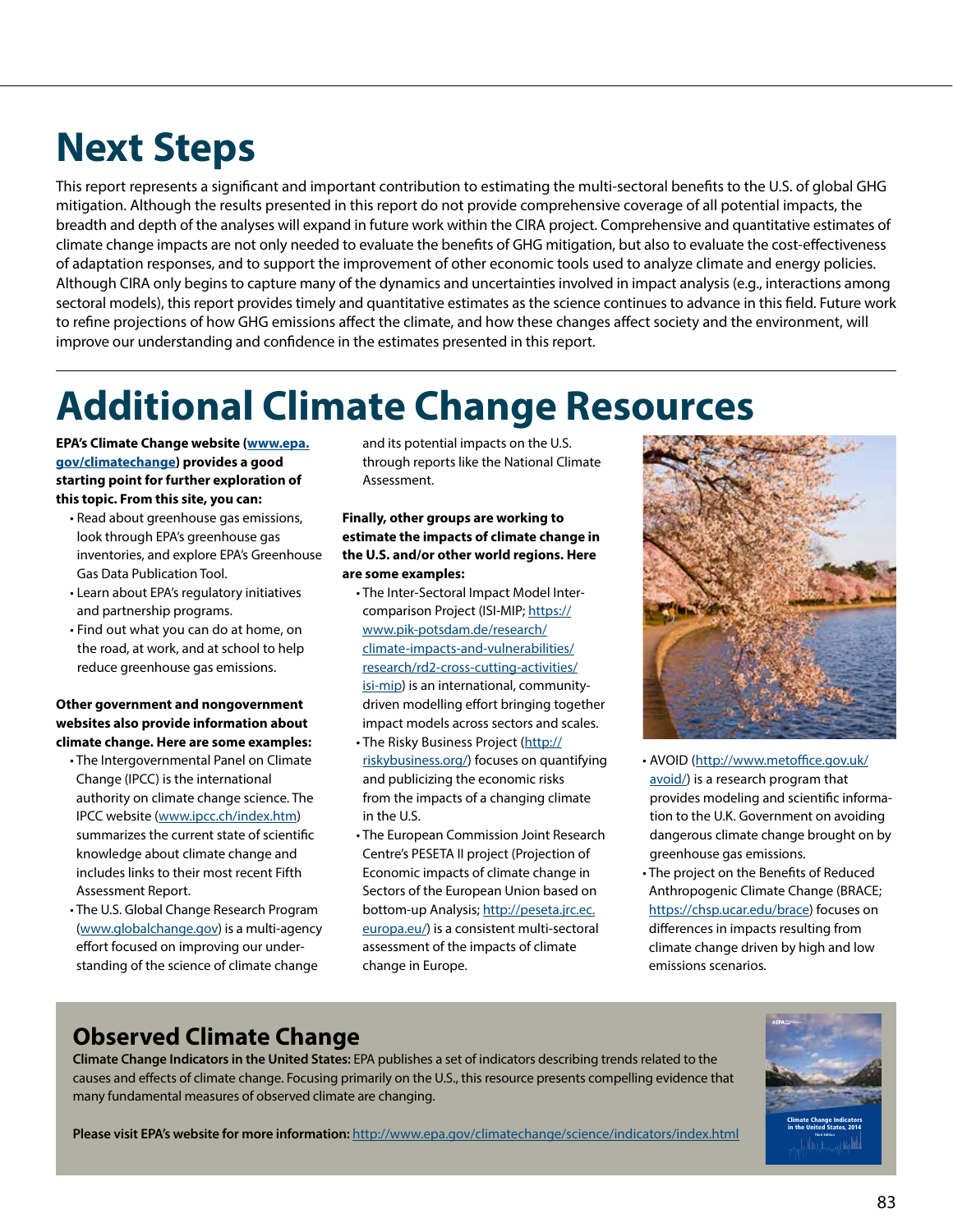## **Next Steps**

This report represents a significant and important contribution to estimating the multi-sectoral benefits to the U.S. of global GHG mitigation. Although the results presented in this report do not provide comprehensive coverage of all potential impacts, the breadth and depth of the analyses will expand in future work within the CIRA project. Comprehensive and quantitative estimates of climate change impacts are not only needed to evaluate the benefits of GHG mitigation, but also to evaluate the cost-effectiveness of adaptation responses, and to support the improvement of other economic tools used to analyze climate and energy policies. Although CIRA only begins to capture many of the dynamics and uncertainties involved in impact analysis (e.g., interactions among sectoral models), this report provides timely and quantitative estimates as the science continues to advance in this field. Future work to refine projections of how GHG emissions affect the climate, and how these changes affect society and the environment, will improve our understanding and confidence in the estimates presented in this report.

## **Additional Climate Change Resources**

**EPA's Climate Change website ([www.epa.](http://www.epa.gov/climatechange) [gov/climatechange\)](http://www.epa.gov/climatechange) provides a good starting point for further exploration of this topic. From this site, you can:**

- Read about greenhouse gas emissions, look through EPA's greenhouse gas inventories, and explore EPA's Greenhouse Gas Data Publication Tool.
- Learn about EPA's regulatory initiatives and partnership programs.
- Find out what you can do at home, on the road, at work, and at school to help reduce greenhouse gas emissions.

## **Other government and nongovernment websites also provide information about climate change. Here are some examples:**

- The Intergovernmental Panel on Climate Change (IPCC) is the international authority on climate change science. The IPCC website ([www.ipcc.ch/index.htm\)](http://www.ipcc.ch/index.htm) summarizes the current state of scientific knowledge about climate change and includes links to their most recent Fifth Assessment Report.
- The U.S. Global Change Research Program ([www.globalchange.gov](http://www.globalchange.gov)) is a multi-agency effort focused on improving our understanding of the science of climate change

and its potential impacts on the U.S. through reports like the National Climate Assessment.

**Finally, other groups are working to estimate the impacts of climate change in the U.S. and/or other world regions. Here are some examples:**

- The Inter-Sectoral Impact Model Intercomparison Project (ISI-MIP; [https://](https://www.pik-potsdam.de/research/climate-impacts-and-vulnerabilities/research/rd2-cross-cutting-activities/isi-mip) [www.pik-potsdam.de/research/](https://www.pik-potsdam.de/research/climate-impacts-and-vulnerabilities/research/rd2-cross-cutting-activities/isi-mip) [climate-impacts-and-vulnerabilities/](https://www.pik-potsdam.de/research/climate-impacts-and-vulnerabilities/research/rd2-cross-cutting-activities/isi-mip) [research/rd2-cross-cutting-activities/](https://www.pik-potsdam.de/research/climate-impacts-and-vulnerabilities/research/rd2-cross-cutting-activities/isi-mip) [isi-mip](https://www.pik-potsdam.de/research/climate-impacts-and-vulnerabilities/research/rd2-cross-cutting-activities/isi-mip)) is an international, communitydriven modelling effort bringing together impact models across sectors and scales. • The Risky Business Project [\(http://](http://riskybusiness.org/)
- [riskybusiness.org/\)](http://riskybusiness.org/) focuses on quantifying and publicizing the economic risks from the impacts of a changing climate in the U.S.
- The European Commission Joint Research Centre's PESETA II project (Projection of Economic impacts of climate change in Sectors of the European Union based on bottom-up Analysis; [http://peseta.jrc.ec.](http://peseta.jrc.ec.europa.eu/) [europa.eu/](http://peseta.jrc.ec.europa.eu/)) is a consistent multi-sectoral assessment of the impacts of climate change in Europe.



- AVOID ([http://www.metoffice.gov.uk/](http://www.metoffice.gov.uk/avoid/) [avoid/](http://www.metoffice.gov.uk/avoid/)) is a research program that provides modeling and scientific information to the U.K. Government on avoiding dangerous climate change brought on by greenhouse gas emissions.
- The project on the Benefits of Reduced Anthropogenic Climate Change (BRACE; <https://chsp.ucar.edu/brace>) focuses on differences in impacts resulting from climate change driven by high and low emissions scenarios.

## **Observed Climate Change**

**Climate Change Indicators in the United States:** EPA publishes a set of indicators describing trends related to the causes and effects of climate change. Focusing primarily on the U.S., this resource presents compelling evidence that many fundamental measures of observed climate are changing.



**Please visit EPA's website for more information:** <http://www.epa.gov/climatechange/science/indicators/index.html>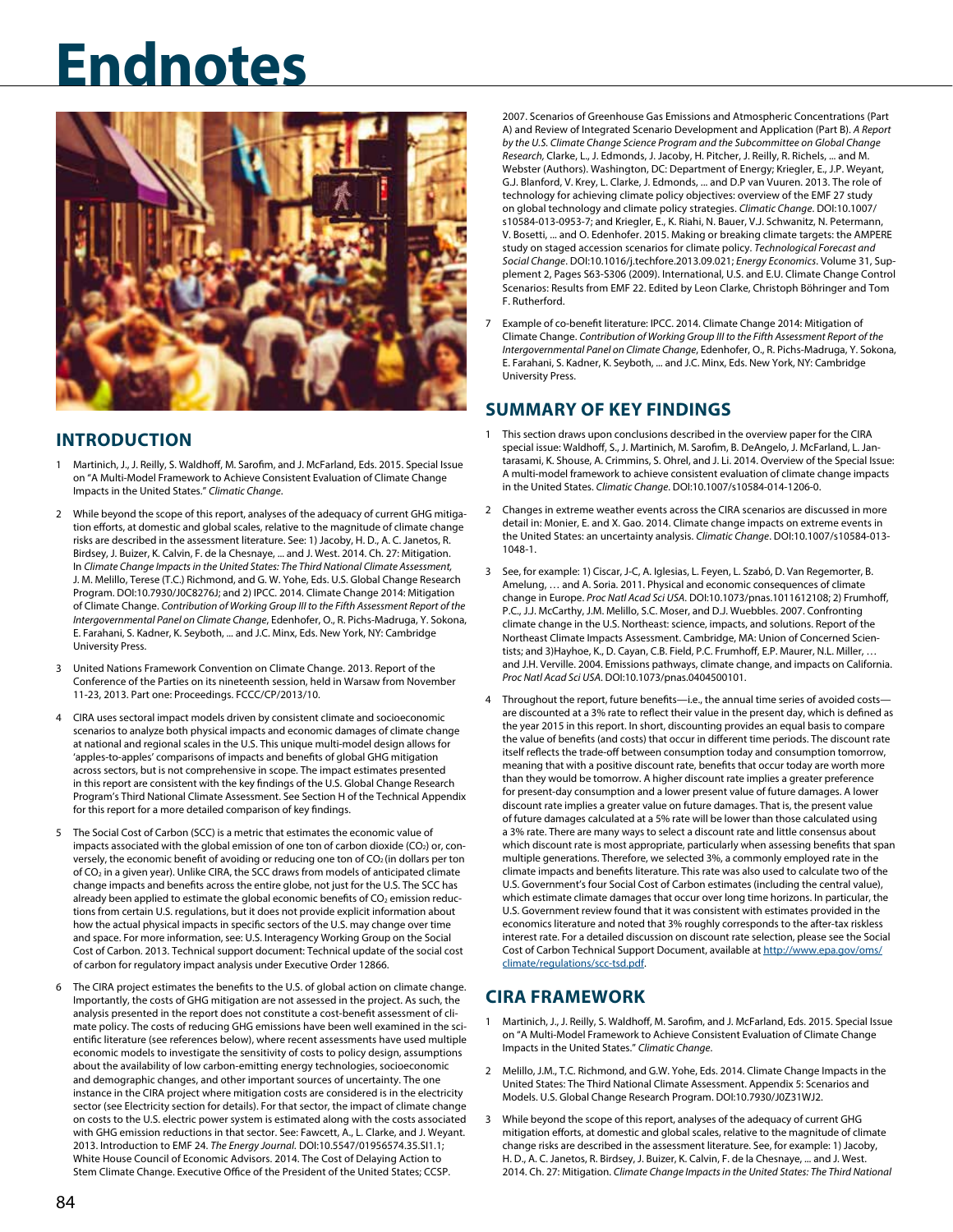

## **INTRODUCTION**

- 1 Martinich, J., J. Reilly, S. Waldhoff, M. Sarofim, and J. McFarland, Eds. 2015. Special Issue on "A Multi-Model Framework to Achieve Consistent Evaluation of Climate Change Impacts in the United States." *Climatic Change*.
- 2 While beyond the scope of this report, analyses of the adequacy of current GHG mitigation efforts, at domestic and global scales, relative to the magnitude of climate change risks are described in the assessment literature. See: 1) Jacoby, H. D., A. C. Janetos, R. Birdsey, J. Buizer, K. Calvin, F. de la Chesnaye, ... and J. West. 2014. Ch. 27: Mitigation. In *Climate Change Impacts in the United States: The Third National Climate Assessment,* J. M. Melillo, Terese (T.C.) Richmond, and G. W. Yohe, Eds. U.S. Global Change Research Program. DOI:10.7930/J0C8276J; and 2) IPCC. 2014. Climate Change 2014: Mitigation of Climate Change. *Contribution of Working Group III to the Fifth Assessment Report of the Intergovernmental Panel on Climate Change*, Edenhofer, O., R. Pichs-Madruga, Y. Sokona, E. Farahani, S. Kadner, K. Seyboth, ... and J.C. Minx, Eds. New York, NY: Cambridge University Press.
- 3 United Nations Framework Convention on Climate Change. 2013. Report of the Conference of the Parties on its nineteenth session, held in Warsaw from November 11-23, 2013. Part one: Proceedings. FCCC/CP/2013/10.
- 4 CIRA uses sectoral impact models driven by consistent climate and socioeconomic scenarios to analyze both physical impacts and economic damages of climate change at national and regional scales in the U.S. This unique multi-model design allows for 'apples-to-apples' comparisons of impacts and benefits of global GHG mitigation across sectors, but is not comprehensive in scope. The impact estimates presented in this report are consistent with the key findings of the U.S. Global Change Research Program's Third National Climate Assessment. See Section H of the Technical Appendix for this report for a more detailed comparison of key findings.
- 5 The Social Cost of Carbon (SCC) is a metric that estimates the economic value of impacts associated with the global emission of one ton of carbon dioxide (CO<sub>2</sub>) or, conversely, the economic benefit of avoiding or reducing one ton of  $CO<sub>2</sub>$  (in dollars per ton of CO2 in a given year). Unlike CIRA, the SCC draws from models of anticipated climate change impacts and benefits across the entire globe, not just for the U.S. The SCC has already been applied to estimate the global economic benefits of  $CO<sub>2</sub>$  emission reductions from certain U.S. regulations, but it does not provide explicit information about how the actual physical impacts in specific sectors of the U.S. may change over time and space. For more information, see: U.S. Interagency Working Group on the Social Cost of Carbon. 2013. Technical support document: Technical update of the social cost of carbon for regulatory impact analysis under Executive Order 12866.
- 6 The CIRA project estimates the benefits to the U.S. of global action on climate change. Importantly, the costs of GHG mitigation are not assessed in the project. As such, the analysis presented in the report does not constitute a cost-benefit assessment of climate policy. The costs of reducing GHG emissions have been well examined in the scientific literature (see references below), where recent assessments have used multiple economic models to investigate the sensitivity of costs to policy design, assumptions about the availability of low carbon-emitting energy technologies, socioeconomic and demographic changes, and other important sources of uncertainty. The one instance in the CIRA project where mitigation costs are considered is in the electricity sector (see Electricity section for details). For that sector, the impact of climate change on costs to the U.S. electric power system is estimated along with the costs associated with GHG emission reductions in that sector. See: Fawcett, A., L. Clarke, and J. Weyant. 2013. Introduction to EMF 24. *The Energy Journal.* DOI:10.5547/01956574.35.SI1.1; White House Council of Economic Advisors. 2014. The Cost of Delaying Action to Stem Climate Change. Executive Office of the President of the United States; CCSP.

2007. Scenarios of Greenhouse Gas Emissions and Atmospheric Concentrations (Part A) and Review of Integrated Scenario Development and Application (Part B). *A Report by the U.S. Climate Change Science Program and the Subcommittee on Global Change Research,* Clarke, L., J. Edmonds, J. Jacoby, H. Pitcher, J. Reilly, R. Richels, ... and M. Webster (Authors). Washington, DC: Department of Energy; Kriegler, E., J.P. Weyant, G.J. Blanford, V. Krey, L. Clarke, J. Edmonds, ... and D.P van Vuuren. 2013. The role of technology for achieving climate policy objectives: overview of the EMF 27 study on global technology and climate policy strategies. *Climatic Change*. DOI:10.1007/ s10584-013-0953-7; and Kriegler, E., K. Riahi, N. Bauer, V.J. Schwanitz, N. Petermann, V. Bosetti, ... and O. Edenhofer. 2015. Making or breaking climate targets: the AMPERE study on staged accession scenarios for climate policy. *Technological Forecast and Social Change*. DOI:10.1016/j.techfore.2013.09.021; *Energy Economics*. Volume 31, Supplement 2, Pages S63-S306 (2009). International, U.S. and E.U. Climate Change Control Scenarios: Results from EMF 22. Edited by Leon Clarke, Christoph Böhringer and Tom F. Rutherford.

7 Example of co-benefit literature: IPCC. 2014. Climate Change 2014: Mitigation of Climate Change. *Contribution of Working Group III to the Fifth Assessment Report of the Intergovernmental Panel on Climate Change*, Edenhofer, O., R. Pichs-Madruga, Y. Sokona, E. Farahani, S. Kadner, K. Seyboth, ... and J.C. Minx, Eds. New York, NY: Cambridge University Press.

## **SUMMARY OF KEY FINDINGS**

- 1 This section draws upon conclusions described in the overview paper for the CIRA special issue: Waldhoff, S., J. Martinich, M. Sarofim, B. DeAngelo, J. McFarland, L. Jantarasami, K. Shouse, A. Crimmins, S. Ohrel, and J. Li. 2014. Overview of the Special Issue: A multi-model framework to achieve consistent evaluation of climate change impacts in the United States. *Climatic Change*. DOI:10.1007/s10584-014-1206-0.
- 2 Changes in extreme weather events across the CIRA scenarios are discussed in more detail in: Monier, E. and X. Gao. 2014. Climate change impacts on extreme events in the United States: an uncertainty analysis. *Climatic Change*. DOI:10.1007/s10584-013- 1048-1.
- 3 See, for example: 1) Ciscar, J-C, A. Iglesias, L. Feyen, L. Szabó, D. Van Regemorter, B. Amelung, … and A. Soria. 2011. Physical and economic consequences of climate change in Europe. *Proc Natl Acad Sci USA*. DOI:10.1073/pnas.1011612108; 2) Frumhoff, P.C., J.J. McCarthy, J.M. Melillo, S.C. Moser, and D.J. Wuebbles. 2007. Confronting climate change in the U.S. Northeast: science, impacts, and solutions. Report of the Northeast Climate Impacts Assessment. Cambridge, MA: Union of Concerned Scientists; and 3)Hayhoe, K., D. Cayan, C.B. Field, P.C. Frumhoff, E.P. Maurer, N.L. Miller, … and J.H. Verville. 2004. Emissions pathways, climate change, and impacts on California. *Proc Natl Acad Sci USA*. DOI:10.1073/pnas.0404500101.
- 4 Throughout the report, future benefits—i.e., the annual time series of avoided costs are discounted at a 3% rate to reflect their value in the present day, which is defined as the year 2015 in this report. In short, discounting provides an equal basis to compare the value of benefits (and costs) that occur in different time periods. The discount rate itself reflects the trade-off between consumption today and consumption tomorrow, meaning that with a positive discount rate, benefits that occur today are worth more than they would be tomorrow. A higher discount rate implies a greater preference for present-day consumption and a lower present value of future damages. A lower discount rate implies a greater value on future damages. That is, the present value of future damages calculated at a 5% rate will be lower than those calculated using a 3% rate. There are many ways to select a discount rate and little consensus about which discount rate is most appropriate, particularly when assessing benefits that span multiple generations. Therefore, we selected 3%, a commonly employed rate in the climate impacts and benefits literature. This rate was also used to calculate two of the U.S. Government's four Social Cost of Carbon estimates (including the central value), which estimate climate damages that occur over long time horizons. In particular, the U.S. Government review found that it was consistent with estimates provided in the economics literature and noted that 3% roughly corresponds to the after-tax riskless interest rate. For a detailed discussion on discount rate selection, please see the Social Cost of Carbon Technical Support Document, available at [http://www.epa.gov/oms/](http://www.epa.gov/oms/climate/regulations/scc-tsd.pdf) [climate/regulations/scc-tsd.pdf.](http://www.epa.gov/oms/climate/regulations/scc-tsd.pdf)

## **CIRA FRAMEWORK**

- Martinich, J., J. Reilly, S. Waldhoff, M. Sarofim, and J. McFarland, Eds. 2015. Special Issue on "A Multi-Model Framework to Achieve Consistent Evaluation of Climate Change Impacts in the United States." *Climatic Change*.
- 2 Melillo, J.M., T.C. Richmond, and G.W. Yohe, Eds. 2014. Climate Change Impacts in the United States: The Third National Climate Assessment. Appendix 5: Scenarios and Models. U.S. Global Change Research Program. DOI:10.7930/J0Z31WJ2.
- 3 While beyond the scope of this report, analyses of the adequacy of current GHG mitigation efforts, at domestic and global scales, relative to the magnitude of climate change risks are described in the assessment literature. See, for example: 1) Jacoby, H. D., A. C. Janetos, R. Birdsey, J. Buizer, K. Calvin, F. de la Chesnaye, ... and J. West. 2014. Ch. 27: Mitigation. *Climate Change Impacts in the United States: The Third National*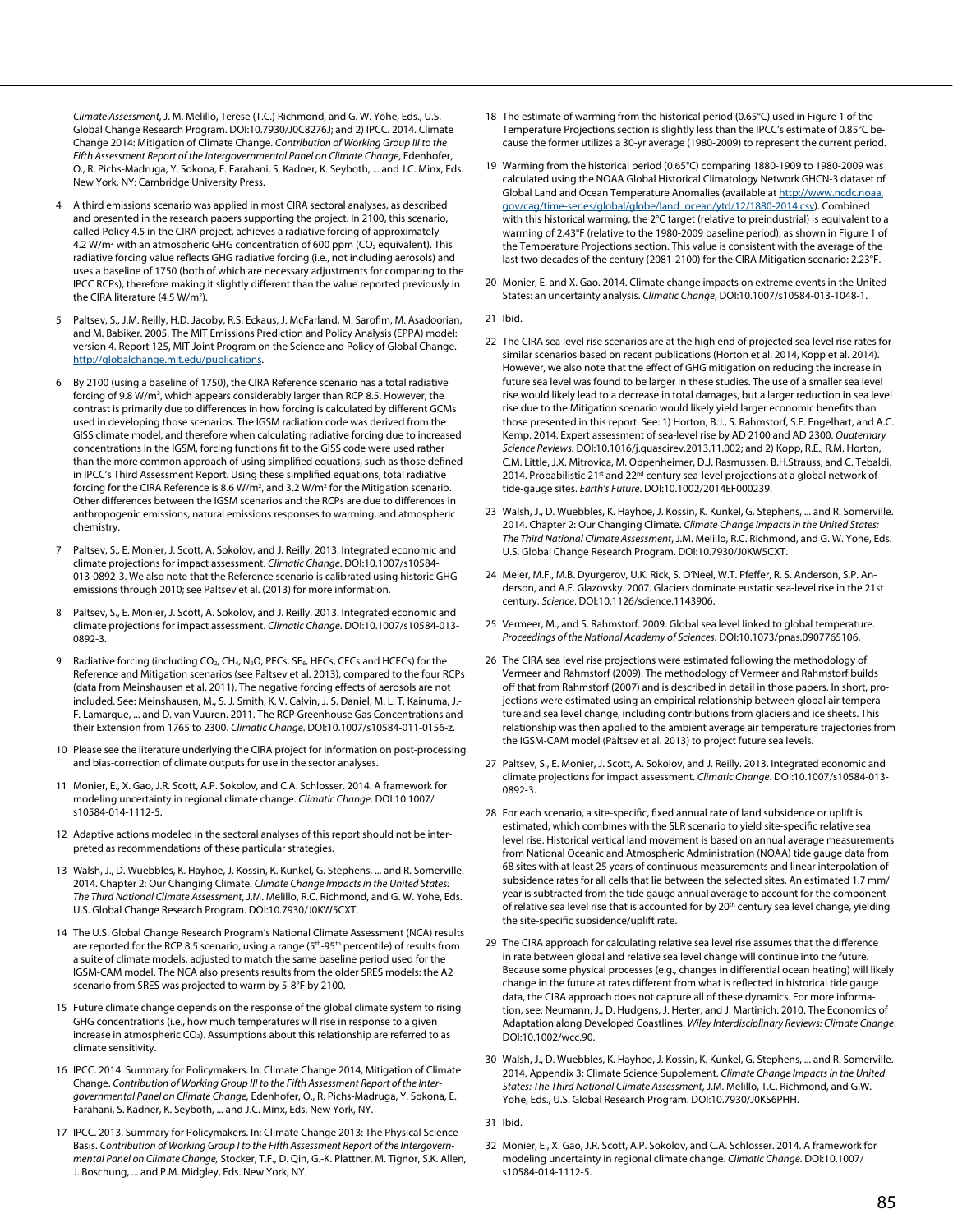*Climate Assessment*, J. M. Melillo, Terese (T.C.) Richmond, and G. W. Yohe, Eds., U.S. Global Change Research Program. DOI:10.7930/J0C8276J; and 2) IPCC. 2014. Climate Change 2014: Mitigation of Climate Change. *Contribution of Working Group III to the Fifth Assessment Report of the Intergovernmental Panel on Climate Change*, Edenhofer, O., R. Pichs-Madruga, Y. Sokona, E. Farahani, S. Kadner, K. Seyboth, ... and J.C. Minx, Eds. New York, NY: Cambridge University Press.

- 4 A third emissions scenario was applied in most CIRA sectoral analyses, as described and presented in the research papers supporting the project. In 2100, this scenario, called Policy 4.5 in the CIRA project, achieves a radiative forcing of approximately 4.2 W/m<sup>2</sup> with an atmospheric GHG concentration of 600 ppm ( $CO<sub>2</sub>$  equivalent). This radiative forcing value reflects GHG radiative forcing (i.e., not including aerosols) and uses a baseline of 1750 (both of which are necessary adjustments for comparing to the IPCC RCPs), therefore making it slightly different than the value reported previously in the CIRA literature (4.5 W/m<sup>2</sup>).
- 5 Paltsev, S., J.M. Reilly, H.D. Jacoby, R.S. Eckaus, J. McFarland, M. Sarofim, M. Asadoorian, and M. Babiker. 2005. The MIT Emissions Prediction and Policy Analysis (EPPA) model: version 4. Report 125, MIT Joint Program on the Science and Policy of Global Change. <http://globalchange.mit.edu/publications>.
- 6 By 2100 (using a baseline of 1750), the CIRA Reference scenario has a total radiative forcing of 9.8 W/m<sup>2</sup>, which appears considerably larger than RCP 8.5. However, the contrast is primarily due to differences in how forcing is calculated by different GCMs used in developing those scenarios. The IGSM radiation code was derived from the GISS climate model, and therefore when calculating radiative forcing due to increased concentrations in the IGSM, forcing functions fit to the GISS code were used rather than the more common approach of using simplified equations, such as those defined in IPCC's Third Assessment Report. Using these simplified equations, total radiative forcing for the CIRA Reference is 8.6 W/m<sup>2</sup>, and 3.2 W/m<sup>2</sup> for the Mitigation scenario. Other differences between the IGSM scenarios and the RCPs are due to differences in anthropogenic emissions, natural emissions responses to warming, and atmospheric chemistry.
- 7 Paltsev, S., E. Monier, J. Scott, A. Sokolov, and J. Reilly. 2013. Integrated economic and climate projections for impact assessment. *Climatic Change*. DOI:10.1007/s10584- 013-0892-3. We also note that the Reference scenario is calibrated using historic GHG emissions through 2010; see Paltsev et al. (2013) for more information.
- 8 Paltsev, S., E. Monier, J. Scott, A. Sokolov, and J. Reilly. 2013. Integrated economic and climate projections for impact assessment. *Climatic Change*. DOI:10.1007/s10584-013- 0892-3.
- 9 Radiative forcing (including CO<sub>2</sub>, CH<sub>4</sub>, N<sub>2</sub>O, PFCs, SF<sub>6</sub>, HFCs, CFCs and HCFCs) for the Reference and Mitigation scenarios (see Paltsev et al. 2013), compared to the four RCPs (data from Meinshausen et al. 2011). The negative forcing effects of aerosols are not included. See: Meinshausen, M., S. J. Smith, K. V. Calvin, J. S. Daniel, M. L. T. Kainuma, J.- F. Lamarque, ... and D. van Vuuren. 2011. The RCP Greenhouse Gas Concentrations and their Extension from 1765 to 2300. *Climatic Change*. DOI:10.1007/s10584-011-0156-z.
- 10 Please see the literature underlying the CIRA project for information on post-processing and bias-correction of climate outputs for use in the sector analyses.
- 11 Monier, E., X. Gao, J.R. Scott, A.P. Sokolov, and C.A. Schlosser. 2014. A framework for modeling uncertainty in regional climate change. *Climatic Change*. DOI:10.1007/ s10584-014-1112-5.
- 12 Adaptive actions modeled in the sectoral analyses of this report should not be interpreted as recommendations of these particular strategies.
- 13 Walsh, J., D. Wuebbles, K. Hayhoe, J. Kossin, K. Kunkel, G. Stephens, ... and R. Somerville. 2014. Chapter 2: Our Changing Climate. *Climate Change Impacts in the United States: The Third National Climate Assessment*, J.M. Melillo, R.C. Richmond, and G. W. Yohe, Eds. U.S. Global Change Research Program. DOI:10.7930/J0KW5CXT.
- 14 The U.S. Global Change Research Program's National Climate Assessment (NCA) results are reported for the RCP 8.5 scenario, using a range (5<sup>th</sup>-95<sup>th</sup> percentile) of results from a suite of climate models, adjusted to match the same baseline period used for the IGSM-CAM model. The NCA also presents results from the older SRES models: the A2 scenario from SRES was projected to warm by 5-8°F by 2100.
- 15 Future climate change depends on the response of the global climate system to rising GHG concentrations (i.e., how much temperatures will rise in response to a given increase in atmospheric  $CO<sub>2</sub>$ ). Assumptions about this relationship are referred to as climate sensitivity.
- 16 IPCC. 2014. Summary for Policymakers. In: Climate Change 2014, Mitigation of Climate Change. *Contribution of Working Group III to the Fifth Assessment Report of the Intergovernmental Panel on Climate Change,* Edenhofer, O., R. Pichs-Madruga, Y. Sokona, E. Farahani, S. Kadner, K. Seyboth, ... and J.C. Minx, Eds. New York, NY.
- 17 IPCC. 2013. Summary for Policymakers. In: Climate Change 2013: The Physical Science Basis. *Contribution of Working Group I to the Fifth Assessment Report of the Intergovernmental Panel on Climate Change,* Stocker, T.F., D. Qin, G.-K. Plattner, M. Tignor, S.K. Allen, J. Boschung, ... and P.M. Midgley, Eds. New York, NY.
- 18 The estimate of warming from the historical period (0.65°C) used in Figure 1 of the Temperature Projections section is slightly less than the IPCC's estimate of 0.85°C because the former utilizes a 30-yr average (1980-2009) to represent the current period.
- 19 Warming from the historical period (0.65°C) comparing 1880-1909 to 1980-2009 was calculated using the NOAA Global Historical Climatology Network GHCN-3 dataset of Global Land and Ocean Temperature Anomalies (available at [http://www.ncdc.noaa.](http://www.ncdc.noaa.gov/cag/time-series/global/globe/land_ocean/ytd/12/1880-2014.csv) [gov/cag/time-series/global/globe/land\\_ocean/ytd/12/1880-2014.csv](http://www.ncdc.noaa.gov/cag/time-series/global/globe/land_ocean/ytd/12/1880-2014.csv)). Combined with this historical warming, the 2°C target (relative to preindustrial) is equivalent to a warming of 2.43°F (relative to the 1980-2009 baseline period), as shown in Figure 1 of the Temperature Projections section. This value is consistent with the average of the last two decades of the century (2081-2100) for the CIRA Mitigation scenario: 2.23°F.
- 20 Monier, E. and X. Gao. 2014. Climate change impacts on extreme events in the United States: an uncertainty analysis. *Climatic Change*, DOI:10.1007/s10584-013-1048-1.
- 21 Ibid.
- 22 The CIRA sea level rise scenarios are at the high end of projected sea level rise rates for similar scenarios based on recent publications (Horton et al. 2014, Kopp et al. 2014). However, we also note that the effect of GHG mitigation on reducing the increase in future sea level was found to be larger in these studies. The use of a smaller sea level rise would likely lead to a decrease in total damages, but a larger reduction in sea level rise due to the Mitigation scenario would likely yield larger economic benefits than those presented in this report. See: 1) Horton, B.J., S. Rahmstorf, S.E. Engelhart, and A.C. Kemp. 2014. Expert assessment of sea-level rise by AD 2100 and AD 2300. *Quaternary Science Reviews.* DOI:10.1016/j.quascirev.2013.11.002; and 2) Kopp, R.E., R.M. Horton, C.M. Little, J.X. Mitrovica, M. Oppenheimer, D.J. Rasmussen, B.H.Strauss, and C. Tebaldi. 2014. Probabilistic 21<sup>st</sup> and 22<sup>nd</sup> century sea-level projections at a global network of tide-gauge sites. *Earth's Future*. DOI:10.1002/2014EF000239.
- 23 Walsh, J., D. Wuebbles, K. Hayhoe, J. Kossin, K. Kunkel, G. Stephens, ... and R. Somerville. 2014. Chapter 2: Our Changing Climate. *Climate Change Impacts in the United States: The Third National Climate Assessment*, J.M. Melillo, R.C. Richmond, and G. W. Yohe, Eds. U.S. Global Change Research Program. DOI:10.7930/J0KW5CXT.
- 24 Meier, M.F., M.B. Dyurgerov, U.K. Rick, S. O'Neel, W.T. Pfeffer, R. S. Anderson, S.P. Anderson, and A.F. Glazovsky. 2007. Glaciers dominate eustatic sea-level rise in the 21st century. *Science*. DOI:10.1126/science.1143906.
- 25 Vermeer, M., and S. Rahmstorf. 2009. Global sea level linked to global temperature. *Proceedings of the National Academy of Sciences*. DOI:10.1073/pnas.0907765106.
- 26 The CIRA sea level rise projections were estimated following the methodology of Vermeer and Rahmstorf (2009). The methodology of Vermeer and Rahmstorf builds off that from Rahmstorf (2007) and is described in detail in those papers. In short, projections were estimated using an empirical relationship between global air temperature and sea level change, including contributions from glaciers and ice sheets. This relationship was then applied to the ambient average air temperature trajectories from the IGSM-CAM model (Paltsev et al. 2013) to project future sea levels.
- 27 Paltsev, S., E. Monier, J. Scott, A. Sokolov, and J. Reilly. 2013. Integrated economic and climate projections for impact assessment. *Climatic Change*. DOI:10.1007/s10584-013- 0892-3.
- 28 For each scenario, a site-specific, fixed annual rate of land subsidence or uplift is estimated, which combines with the SLR scenario to yield site-specific relative sea level rise. Historical vertical land movement is based on annual average measurements from National Oceanic and Atmospheric Administration (NOAA) tide gauge data from 68 sites with at least 25 years of continuous measurements and linear interpolation of subsidence rates for all cells that lie between the selected sites. An estimated 1.7 mm/ year is subtracted from the tide gauge annual average to account for the component of relative sea level rise that is accounted for by 20<sup>th</sup> century sea level change, yielding the site-specific subsidence/uplift rate.
- 29 The CIRA approach for calculating relative sea level rise assumes that the difference in rate between global and relative sea level change will continue into the future. Because some physical processes (e.g., changes in differential ocean heating) will likely change in the future at rates different from what is reflected in historical tide gauge data, the CIRA approach does not capture all of these dynamics. For more information, see: Neumann, J., D. Hudgens, J. Herter, and J. Martinich. 2010. The Economics of Adaptation along Developed Coastlines. *Wiley Interdisciplinary Reviews: Climate Change*. DOI:10.1002/wcc.90.
- 30 Walsh, J., D. Wuebbles, K. Hayhoe, J. Kossin, K. Kunkel, G. Stephens, ... and R. Somerville. 2014. Appendix 3: Climate Science Supplement. *Climate Change Impacts in the United States: The Third National Climate Assessment*, J.M. Melillo, T.C. Richmond, and G.W. Yohe, Eds., U.S. Global Research Program. DOI:10.7930/J0KS6PHH.
- 31 Ibid.
- 32 Monier, E., X. Gao, J.R. Scott, A.P. Sokolov, and C.A. Schlosser. 2014. A framework for modeling uncertainty in regional climate change. *Climatic Change*. DOI:10.1007/ s10584-014-1112-5.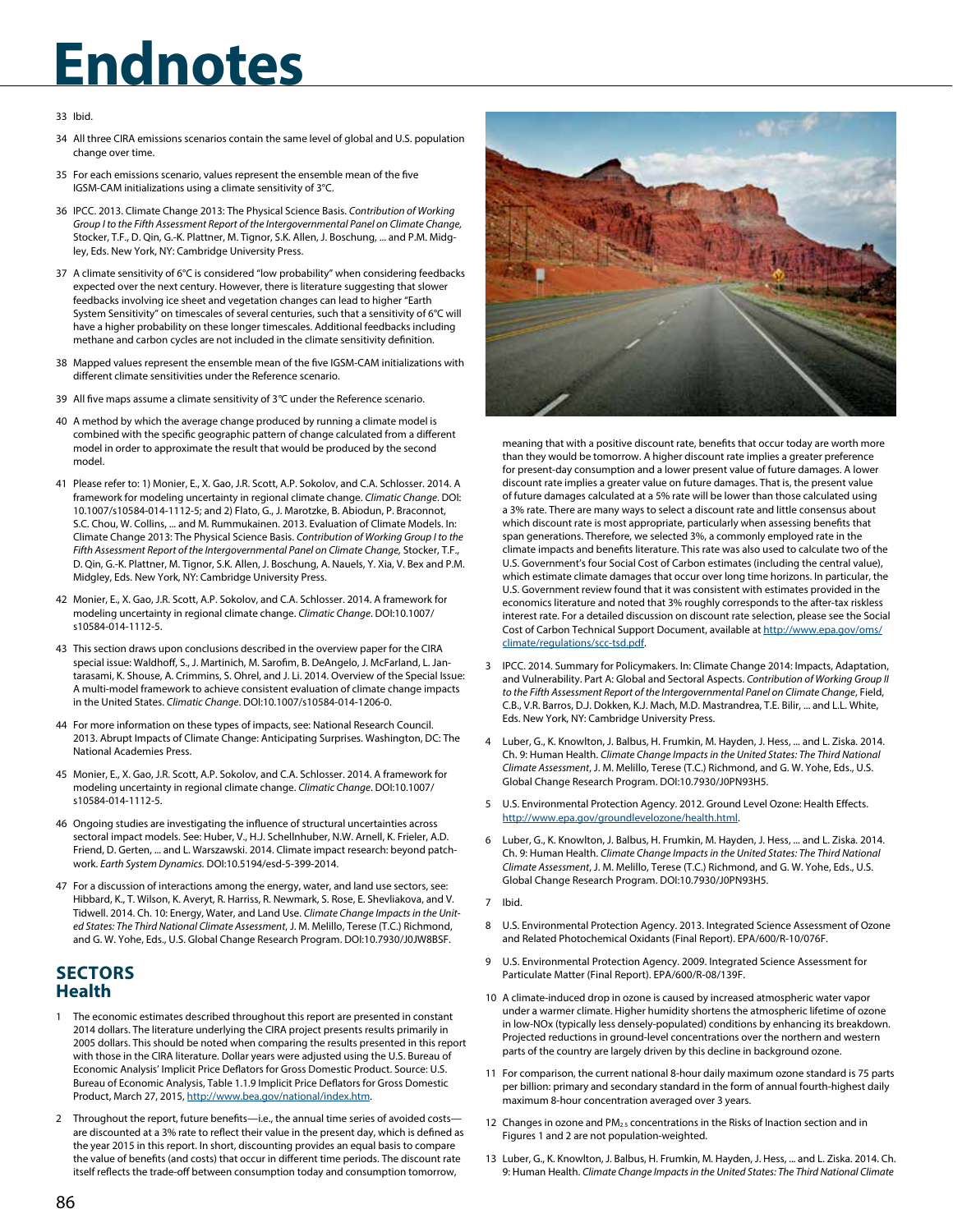### 33 Ibid.

- 34 All three CIRA emissions scenarios contain the same level of global and U.S. population change over time.
- 35 For each emissions scenario, values represent the ensemble mean of the five IGSM-CAM initializations using a climate sensitivity of 3°C.
- 36 IPCC. 2013. Climate Change 2013: The Physical Science Basis. *Contribution of Working Group I to the Fifth Assessment Report of the Intergovernmental Panel on Climate Change,* Stocker, T.F., D. Qin, G.-K. Plattner, M. Tignor, S.K. Allen, J. Boschung, ... and P.M. Midgley, Eds. New York, NY: Cambridge University Press.
- 37 A climate sensitivity of 6°C is considered "low probability" when considering feedbacks expected over the next century. However, there is literature suggesting that slower feedbacks involving ice sheet and vegetation changes can lead to higher "Earth System Sensitivity" on timescales of several centuries, such that a sensitivity of 6°C will have a higher probability on these longer timescales. Additional feedbacks including methane and carbon cycles are not included in the climate sensitivity definition.
- 38 Mapped values represent the ensemble mean of the five IGSM-CAM initializations with different climate sensitivities under the Reference scenario.
- 39 All five maps assume a climate sensitivity of 3*°*C under the Reference scenario.
- 40 A method by which the average change produced by running a climate model is combined with the specific geographic pattern of change calculated from a different model in order to approximate the result that would be produced by the second model.
- 41 Please refer to: 1) Monier, E., X. Gao, J.R. Scott, A.P. Sokolov, and C.A. Schlosser. 2014. A framework for modeling uncertainty in regional climate change. *Climatic Change*. DOI: 10.1007/s10584-014-1112-5; and 2) Flato, G., J. Marotzke, B. Abiodun, P. Braconnot, S.C. Chou, W. Collins, ... and M. Rummukainen. 2013. Evaluation of Climate Models. In: Climate Change 2013: The Physical Science Basis. *Contribution of Working Group I to the Fifth Assessment Report of the Intergovernmental Panel on Climate Change,* Stocker, T.F., D. Qin, G.-K. Plattner, M. Tignor, S.K. Allen, J. Boschung, A. Nauels, Y. Xia, V. Bex and P.M. Midgley, Eds. New York, NY: Cambridge University Press.
- 42 Monier, E., X. Gao, J.R. Scott, A.P. Sokolov, and C.A. Schlosser. 2014. A framework for modeling uncertainty in regional climate change. *Climatic Change*. DOI:10.1007/ s10584-014-1112-5.
- 43 This section draws upon conclusions described in the overview paper for the CIRA special issue: Waldhoff, S., J. Martinich, M. Sarofim, B. DeAngelo, J. McFarland, L. Jantarasami, K. Shouse, A. Crimmins, S. Ohrel, and J. Li. 2014. Overview of the Special Issue: A multi-model framework to achieve consistent evaluation of climate change impacts in the United States. *Climatic Change*. DOI:10.1007/s10584-014-1206-0.
- 44 For more information on these types of impacts, see: National Research Council. 2013. Abrupt Impacts of Climate Change: Anticipating Surprises. Washington, DC: The National Academies Press.
- 45 Monier, E., X. Gao, J.R. Scott, A.P. Sokolov, and C.A. Schlosser. 2014. A framework for modeling uncertainty in regional climate change. *Climatic Change*. DOI:10.1007/ s10584-014-1112-5.
- 46 Ongoing studies are investigating the influence of structural uncertainties across sectoral impact models. See: Huber, V., H.J. Schellnhuber, N.W. Arnell, K. Frieler, A.D. Friend, D. Gerten, ... and L. Warszawski. 2014. Climate impact research: beyond patchwork. *Earth System Dynamics.* DOI:10.5194/esd-5-399-2014.
- 47 For a discussion of interactions among the energy, water, and land use sectors, see: Hibbard, K., T. Wilson, K. Averyt, R. Harriss, R. Newmark, S. Rose, E. Shevliakova, and V. Tidwell. 2014. Ch. 10: Energy, Water, and Land Use. *Climate Change Impacts in the United States: The Third National Climate Assessment*, J. M. Melillo, Terese (T.C.) Richmond, and G. W. Yohe, Eds., U.S. Global Change Research Program. DOI:10.7930/J0JW8BSF.

### **SECTORS Health**

- 1 The economic estimates described throughout this report are presented in constant 2014 dollars. The literature underlying the CIRA project presents results primarily in 2005 dollars. This should be noted when comparing the results presented in this report with those in the CIRA literature. Dollar years were adjusted using the U.S. Bureau of Economic Analysis' Implicit Price Deflators for Gross Domestic Product. Source: U.S. Bureau of Economic Analysis, Table 1.1.9 Implicit Price Deflators for Gross Domestic Product, March 27, 2015, [http://www.bea.gov/national/index.htm.](http://www.bea.gov/national/index.htm)
- 2 Throughout the report, future benefits—i.e., the annual time series of avoided costs are discounted at a 3% rate to reflect their value in the present day, which is defined as the year 2015 in this report. In short, discounting provides an equal basis to compare the value of benefits (and costs) that occur in different time periods. The discount rate itself reflects the trade-off between consumption today and consumption tomorrow,



meaning that with a positive discount rate, benefits that occur today are worth more than they would be tomorrow. A higher discount rate implies a greater preference for present-day consumption and a lower present value of future damages. A lower discount rate implies a greater value on future damages. That is, the present value of future damages calculated at a 5% rate will be lower than those calculated using a 3% rate. There are many ways to select a discount rate and little consensus about which discount rate is most appropriate, particularly when assessing benefits that span generations. Therefore, we selected 3%, a commonly employed rate in the climate impacts and benefits literature. This rate was also used to calculate two of the U.S. Government's four Social Cost of Carbon estimates (including the central value), which estimate climate damages that occur over long time horizons. In particular, the U.S. Government review found that it was consistent with estimates provided in the economics literature and noted that 3% roughly corresponds to the after-tax riskless interest rate. For a detailed discussion on discount rate selection, please see the Social Cost of Carbon Technical Support Document, available at [http://www.epa.gov/oms/](http://www.epa.gov/oms/climate/regulations/scc-tsd.pdf) [climate/regulations/scc-tsd.pdf.](http://www.epa.gov/oms/climate/regulations/scc-tsd.pdf)

- 3 IPCC. 2014. Summary for Policymakers. In: Climate Change 2014: Impacts, Adaptation, and Vulnerability. Part A: Global and Sectoral Aspects. *Contribution of Working Group II to the Fifth Assessment Report of the Intergovernmental Panel on Climate Change*, Field, C.B., V.R. Barros, D.J. Dokken, K.J. Mach, M.D. Mastrandrea, T.E. Bilir, ... and L.L. White, Eds. New York, NY: Cambridge University Press.
- 4 Luber, G., K. Knowlton, J. Balbus, H. Frumkin, M. Hayden, J. Hess, ... and L. Ziska. 2014. Ch. 9: Human Health. *Climate Change Impacts in the United States: The Third National Climate Assessment*, J. M. Melillo, Terese (T.C.) Richmond, and G. W. Yohe, Eds., U.S. Global Change Research Program. DOI:10.7930/J0PN93H5.
- 5 U.S. Environmental Protection Agency. 2012. Ground Level Ozone: Health Effects. <http://www.epa.gov/groundlevelozone/health.html>.
- 6 Luber, G., K. Knowlton, J. Balbus, H. Frumkin, M. Hayden, J. Hess, ... and L. Ziska. 2014. Ch. 9: Human Health. *Climate Change Impacts in the United States: The Third National Climate Assessment*, J. M. Melillo, Terese (T.C.) Richmond, and G. W. Yohe, Eds., U.S. Global Change Research Program. DOI:10.7930/J0PN93H5.
- 7 Ibid.
- 8 U.S. Environmental Protection Agency. 2013. Integrated Science Assessment of Ozone and Related Photochemical Oxidants (Final Report). EPA/600/R-10/076F.
- 9 U.S. Environmental Protection Agency. 2009. Integrated Science Assessment for Particulate Matter (Final Report). EPA/600/R-08/139F.
- 10 A climate-induced drop in ozone is caused by increased atmospheric water vapor under a warmer climate. Higher humidity shortens the atmospheric lifetime of ozone in low-NOx (typically less densely-populated) conditions by enhancing its breakdown. Projected reductions in ground-level concentrations over the northern and western parts of the country are largely driven by this decline in background ozone.
- 11 For comparison, the current national 8-hour daily maximum ozone standard is 75 parts per billion: primary and secondary standard in the form of annual fourth-highest daily maximum 8-hour concentration averaged over 3 years.
- 12 Changes in ozone and  $PM_{2.5}$  concentrations in the Risks of Inaction section and in Figures 1 and 2 are not population-weighted.
- 13 Luber, G., K. Knowlton, J. Balbus, H. Frumkin, M. Hayden, J. Hess, ... and L. Ziska. 2014. Ch. 9: Human Health. *Climate Change Impacts in the United States: The Third National Climate*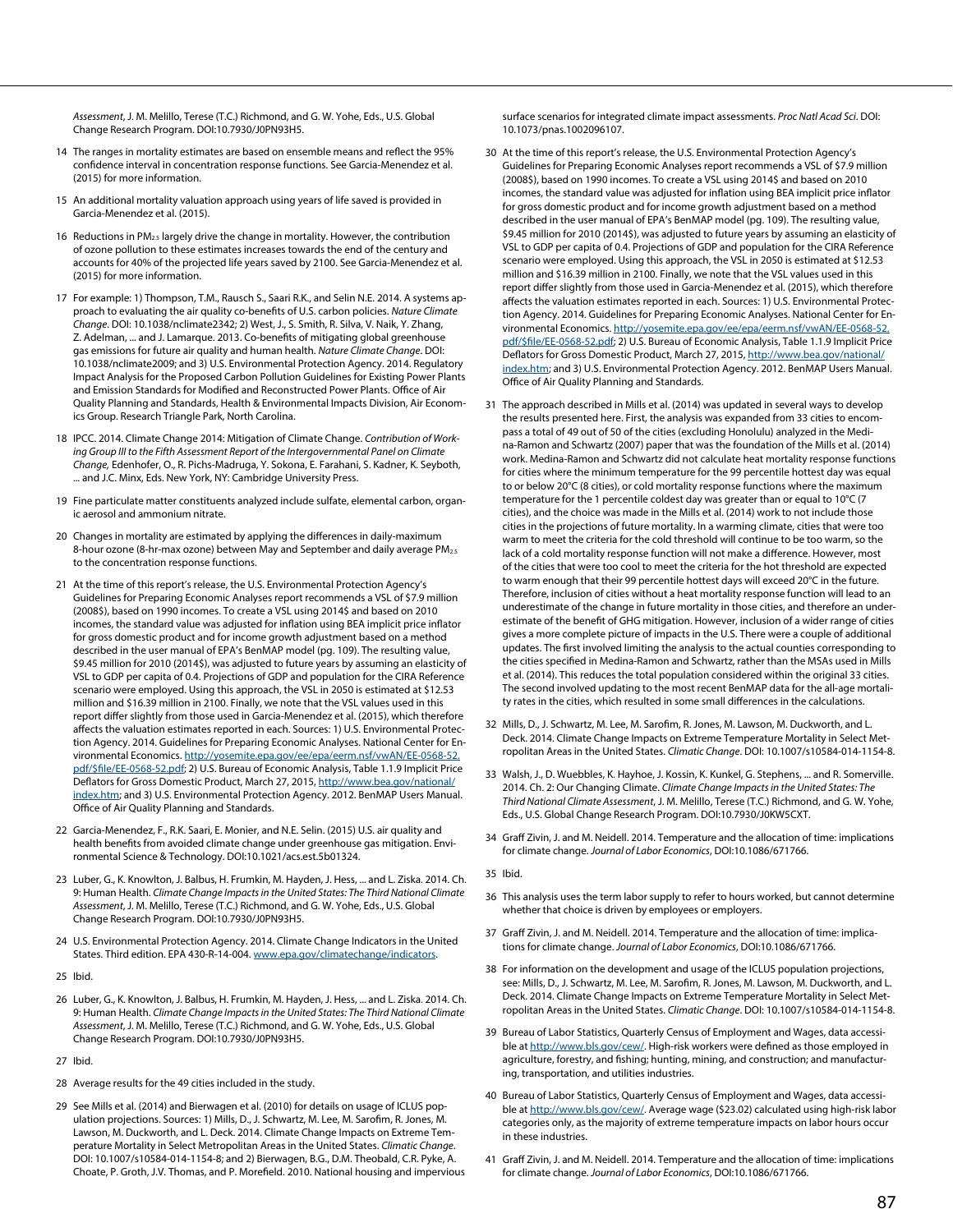*Assessment*, J. M. Melillo, Terese (T.C.) Richmond, and G. W. Yohe, Eds., U.S. Global Change Research Program. DOI:10.7930/J0PN93H5.

- 14 The ranges in mortality estimates are based on ensemble means and reflect the 95% confidence interval in concentration response functions. See Garcia-Menendez et al. (2015) for more information.
- 15 An additional mortality valuation approach using years of life saved is provided in Garcia-Menendez et al. (2015).
- 16 Reductions in PM<sub>2.5</sub> largely drive the change in mortality. However, the contribution of ozone pollution to these estimates increases towards the end of the century and accounts for 40% of the projected life years saved by 2100. See Garcia-Menendez et al. (2015) for more information.
- 17 For example: 1) Thompson, T.M., Rausch S., Saari R.K., and Selin N.E. 2014. A systems approach to evaluating the air quality co-benefits of U.S. carbon policies. *Nature Climate Change*. DOI: 10.1038/nclimate2342; 2) West, J., S. Smith, R. Silva, V. Naik, Y. Zhang, Z. Adelman, ... and J. Lamarque. 2013. Co-benefits of mitigating global greenhouse gas emissions for future air quality and human health. *Nature Climate Change*. DOI: 10.1038/nclimate2009; and 3) U.S. Environmental Protection Agency. 2014. Regulatory Impact Analysis for the Proposed Carbon Pollution Guidelines for Existing Power Plants and Emission Standards for Modified and Reconstructed Power Plants. Office of Air Quality Planning and Standards, Health & Environmental Impacts Division, Air Economics Group. Research Triangle Park, North Carolina.
- 18 IPCC. 2014. Climate Change 2014: Mitigation of Climate Change. *Contribution of Working Group III to the Fifth Assessment Report of the Intergovernmental Panel on Climate Change,* Edenhofer, O., R. Pichs-Madruga, Y. Sokona, E. Farahani, S. Kadner, K. Seyboth, ... and J.C. Minx, Eds. New York, NY: Cambridge University Press.
- 19 Fine particulate matter constituents analyzed include sulfate, elemental carbon, organic aerosol and ammonium nitrate.
- 20 Changes in mortality are estimated by applying the differences in daily-maximum 8-hour ozone (8-hr-max ozone) between May and September and daily average PM<sub>2.5</sub> to the concentration response functions.
- 21 At the time of this report's release, the U.S. Environmental Protection Agency's Guidelines for Preparing Economic Analyses report recommends a VSL of \$7.9 million (2008\$), based on 1990 incomes. To create a VSL using 2014\$ and based on 2010 incomes, the standard value was adjusted for inflation using BEA implicit price inflator for gross domestic product and for income growth adjustment based on a method described in the user manual of EPA's BenMAP model (pg. 109). The resulting value, \$9.45 million for 2010 (2014\$), was adjusted to future years by assuming an elasticity of VSL to GDP per capita of 0.4. Projections of GDP and population for the CIRA Reference scenario were employed. Using this approach, the VSL in 2050 is estimated at \$12.53 million and \$16.39 million in 2100. Finally, we note that the VSL values used in this report differ slightly from those used in Garcia-Menendez et al. (2015), which therefore affects the valuation estimates reported in each. Sources: 1) U.S. Environmental Protection Agency. 2014. Guidelines for Preparing Economic Analyses. National Center for Environmental Economics. [http://yosemite.epa.gov/ee/epa/eerm.nsf/vwAN/EE-0568-52.](http://yosemite.epa.gov/ee/epa/eerm.nsf/vwAN/EE-0568-52.pdf/$file/EE-0568-52.pdf) [pdf/\\$file/EE-0568-52.pdf](http://yosemite.epa.gov/ee/epa/eerm.nsf/vwAN/EE-0568-52.pdf/$file/EE-0568-52.pdf); 2) U.S. Bureau of Economic Analysis, Table 1.1.9 Implicit Price Deflators for Gross Domestic Product, March 27, 2015, [http://www.bea.gov/national/](http://www.bea.gov/national/index.htm) [index.htm;](http://www.bea.gov/national/index.htm) and 3) U.S. Environmental Protection Agency. 2012. BenMAP Users Manual. Office of Air Quality Planning and Standards.
- 22 Garcia-Menendez, F., R.K. Saari, E. Monier, and N.E. Selin. (2015) U.S. air quality and health benefits from avoided climate change under greenhouse gas mitigation. Environmental Science & Technology. DOI:10.1021/acs.est.5b01324.
- 23 Luber, G., K. Knowlton, J. Balbus, H. Frumkin, M. Hayden, J. Hess, ... and L. Ziska. 2014. Ch. 9: Human Health. *Climate Change Impacts in the United States: The Third National Climate Assessment*, J. M. Melillo, Terese (T.C.) Richmond, and G. W. Yohe, Eds., U.S. Global Change Research Program. DOI:10.7930/J0PN93H5.
- 24 U.S. Environmental Protection Agency. 2014. Climate Change Indicators in the United States. Third edition. EPA 430-R-14-004. [www.epa.gov/climatechange/indicators](http://www.epa.gov/climatechange/indicators).
- 25 Ibid.
- 26 Luber, G., K. Knowlton, J. Balbus, H. Frumkin, M. Hayden, J. Hess, ... and L. Ziska. 2014. Ch. 9: Human Health. *Climate Change Impacts in the United States: The Third National Climate Assessment*, J. M. Melillo, Terese (T.C.) Richmond, and G. W. Yohe, Eds., U.S. Global Change Research Program. DOI:10.7930/J0PN93H5.
- 27 Ibid.
- 28 Average results for the 49 cities included in the study.
- 29 See Mills et al. (2014) and Bierwagen et al. (2010) for details on usage of ICLUS population projections. Sources: 1) Mills, D., J. Schwartz, M. Lee, M. Sarofim, R. Jones, M. Lawson, M. Duckworth, and L. Deck. 2014. Climate Change Impacts on Extreme Temperature Mortality in Select Metropolitan Areas in the United States. *Climatic Change*. DOI: 10.1007/s10584-014-1154-8; and 2) Bierwagen, B.G., D.M. Theobald, C.R. Pyke, A. Choate, P. Groth, J.V. Thomas, and P. Morefield. 2010. National housing and impervious

surface scenarios for integrated climate impact assessments. *Proc Natl Acad Sci*. DOI: 10.1073/pnas.1002096107.

- 30 At the time of this report's release, the U.S. Environmental Protection Agency's Guidelines for Preparing Economic Analyses report recommends a VSL of \$7.9 million (2008\$), based on 1990 incomes. To create a VSL using 2014\$ and based on 2010 incomes, the standard value was adjusted for inflation using BEA implicit price inflator for gross domestic product and for income growth adjustment based on a method described in the user manual of EPA's BenMAP model (pg. 109). The resulting value, \$9.45 million for 2010 (2014\$), was adjusted to future years by assuming an elasticity of VSL to GDP per capita of 0.4. Projections of GDP and population for the CIRA Reference scenario were employed. Using this approach, the VSL in 2050 is estimated at \$12.53 million and \$16.39 million in 2100. Finally, we note that the VSL values used in this report differ slightly from those used in Garcia-Menendez et al. (2015), which therefore affects the valuation estimates reported in each. Sources: 1) U.S. Environmental Protection Agency. 2014. Guidelines for Preparing Economic Analyses. National Center for Environmental Economics. [http://yosemite.epa.gov/ee/epa/eerm.nsf/vwAN/EE-0568-52.](http://yosemite.epa.gov/ee/epa/eerm.nsf/vwAN/EE-0568-52.pdf/$file/EE-0568-52.pdf) [pdf/\\$file/EE-0568-52.pdf](http://yosemite.epa.gov/ee/epa/eerm.nsf/vwAN/EE-0568-52.pdf/$file/EE-0568-52.pdf); 2) U.S. Bureau of Economic Analysis, Table 1.1.9 Implicit Price Deflators for Gross Domestic Product, March 27, 2015, [http://www.bea.gov/national/](http://www.bea.gov/national/index.htm) [index.htm;](http://www.bea.gov/national/index.htm) and 3) U.S. Environmental Protection Agency. 2012. BenMAP Users Manual. Office of Air Quality Planning and Standards.
- 31 The approach described in Mills et al. (2014) was updated in several ways to develop the results presented here. First, the analysis was expanded from 33 cities to encompass a total of 49 out of 50 of the cities (excluding Honolulu) analyzed in the Medina-Ramon and Schwartz (2007) paper that was the foundation of the Mills et al. (2014) work. Medina-Ramon and Schwartz did not calculate heat mortality response functions for cities where the minimum temperature for the 99 percentile hottest day was equal to or below 20°C (8 cities), or cold mortality response functions where the maximum temperature for the 1 percentile coldest day was greater than or equal to 10°C (7 cities), and the choice was made in the Mills et al. (2014) work to not include those cities in the projections of future mortality. In a warming climate, cities that were too warm to meet the criteria for the cold threshold will continue to be too warm, so the lack of a cold mortality response function will not make a difference. However, most of the cities that were too cool to meet the criteria for the hot threshold are expected to warm enough that their 99 percentile hottest days will exceed 20°C in the future. Therefore, inclusion of cities without a heat mortality response function will lead to an underestimate of the change in future mortality in those cities, and therefore an underestimate of the benefit of GHG mitigation. However, inclusion of a wider range of cities gives a more complete picture of impacts in the U.S. There were a couple of additional updates. The first involved limiting the analysis to the actual counties corresponding to the cities specified in Medina-Ramon and Schwartz, rather than the MSAs used in Mills et al. (2014). This reduces the total population considered within the original 33 cities. The second involved updating to the most recent BenMAP data for the all-age mortality rates in the cities, which resulted in some small differences in the calculations.
- 32 Mills, D., J. Schwartz, M. Lee, M. Sarofim, R. Jones, M. Lawson, M. Duckworth, and L. Deck. 2014. Climate Change Impacts on Extreme Temperature Mortality in Select Metropolitan Areas in the United States. *Climatic Change*. DOI: 10.1007/s10584-014-1154-8.
- 33 Walsh, J., D. Wuebbles, K. Hayhoe, J. Kossin, K. Kunkel, G. Stephens, ... and R. Somerville. 2014. Ch. 2: Our Changing Climate. *Climate Change Impacts in the United States: The Third National Climate Assessment*, J. M. Melillo, Terese (T.C.) Richmond, and G. W. Yohe, Eds., U.S. Global Change Research Program. DOI:10.7930/J0KW5CXT.
- 34 Graff Zivin, J. and M. Neidell. 2014. Temperature and the allocation of time: implications for climate change. *Journal of Labor Economics*, DOI:10.1086/671766.

35 Ibid.

- 36 This analysis uses the term labor supply to refer to hours worked, but cannot determine whether that choice is driven by employees or employers.
- 37 Graff Zivin, J. and M. Neidell. 2014. Temperature and the allocation of time: implications for climate change. *Journal of Labor Economics*, DOI:10.1086/671766.
- 38 For information on the development and usage of the ICLUS population projections, see: Mills, D., J. Schwartz, M. Lee, M. Sarofim, R. Jones, M. Lawson, M. Duckworth, and L. Deck. 2014. Climate Change Impacts on Extreme Temperature Mortality in Select Metropolitan Areas in the United States. *Climatic Change*. DOI: 10.1007/s10584-014-1154-8.
- 39 Bureau of Labor Statistics, Quarterly Census of Employment and Wages, data accessible at <http://www.bls.gov/cew/>. High-risk workers were defined as those employed in agriculture, forestry, and fishing; hunting, mining, and construction; and manufacturing, transportation, and utilities industries.
- 40 Bureau of Labor Statistics, Quarterly Census of Employment and Wages, data accessible at <http://www.bls.gov/cew/>. Average wage (\$23.02) calculated using high-risk labor categories only, as the majority of extreme temperature impacts on labor hours occur in these industries.
- 41 Graff Zivin, J. and M. Neidell. 2014. Temperature and the allocation of time: implications for climate change. *Journal of Labor Economics*, DOI:10.1086/671766.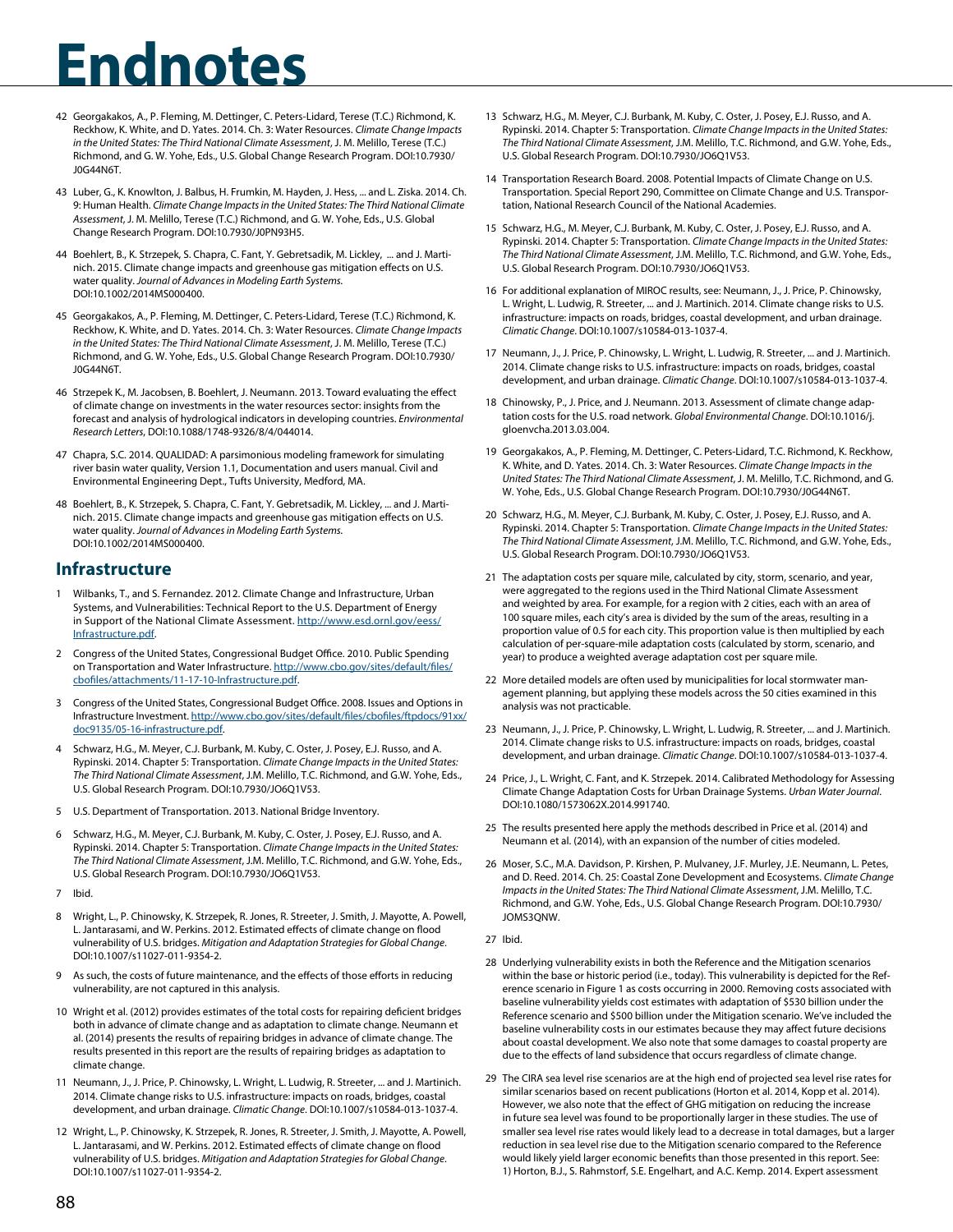- 42 Georgakakos, A., P. Fleming, M. Dettinger, C. Peters-Lidard, Terese (T.C.) Richmond, K. Reckhow, K. White, and D. Yates. 2014. Ch. 3: Water Resources. *Climate Change Impacts in the United States: The Third National Climate Assessment*, J. M. Melillo, Terese (T.C.) Richmond, and G. W. Yohe, Eds., U.S. Global Change Research Program. DOI:10.7930/ J0G44N6T.
- 43 Luber, G., K. Knowlton, J. Balbus, H. Frumkin, M. Hayden, J. Hess, ... and L. Ziska. 2014. Ch. 9: Human Health. *Climate Change Impacts in the United States: The Third National Climate Assessment*, J. M. Melillo, Terese (T.C.) Richmond, and G. W. Yohe, Eds., U.S. Global Change Research Program. DOI:10.7930/J0PN93H5.
- 44 Boehlert, B., K. Strzepek, S. Chapra, C. Fant, Y. Gebretsadik, M. Lickley, ... and J. Martinich. 2015. Climate change impacts and greenhouse gas mitigation effects on U.S. water quality. *Journal of Advances in Modeling Earth Systems.* DOI:10.1002/2014MS000400.
- 45 Georgakakos, A., P. Fleming, M. Dettinger, C. Peters-Lidard, Terese (T.C.) Richmond, K. Reckhow, K. White, and D. Yates. 2014. Ch. 3: Water Resources. *Climate Change Impacts in the United States: The Third National Climate Assessment*, J. M. Melillo, Terese (T.C.) Richmond, and G. W. Yohe, Eds., U.S. Global Change Research Program. DOI:10.7930/ J0G44N6T.
- 46 Strzepek K., M. Jacobsen, B. Boehlert, J. Neumann. 2013. Toward evaluating the effect of climate change on investments in the water resources sector: insights from the forecast and analysis of hydrological indicators in developing countries. *Environmental Research Letters*, DOI:10.1088/1748-9326/8/4/044014.
- 47 Chapra, S.C. 2014. QUALIDAD: A parsimonious modeling framework for simulating river basin water quality, Version 1.1, Documentation and users manual. Civil and Environmental Engineering Dept., Tufts University, Medford, MA.
- 48 Boehlert, B., K. Strzepek, S. Chapra, C. Fant, Y. Gebretsadik, M. Lickley, ... and J. Martinich. 2015. Climate change impacts and greenhouse gas mitigation effects on U.S. water quality. Journal of Advances in Modeling Earth Systems. DOI:10.1002/2014MS000400.

## **Infrastructure**

- 1 Wilbanks, T., and S. Fernandez. 2012. Climate Change and Infrastructure, Urban Systems, and Vulnerabilities: Technical Report to [the U.S. Department of Energy](http://www.esd.ornl.gov/eess/Infrastructure.pdf)  [in Support of the](http://www.esd.ornl.gov/eess/Infrastructure.pdf) National Climate Assessment. http://www.esd.ornl.gov/eess/ Infrastructure.pdf.
- 2 Congress of the United States, Congression[al Budget Office. 2010. Public Spending](http://www.cbo.gov/sites/default/files/cbofiles/attachments/11-17-10-Infrastructure.pdf)  [on Transportation and Water Infrastructure. http:/](http://www.cbo.gov/sites/default/files/cbofiles/attachments/11-17-10-Infrastructure.pdf)/www.cbo.gov/sites/default/files/ cbofiles/attachments/11-17-10-Infrastructure.pdf.
- 3 Congress of the United St[ates, Congressional Budget Office. 2008. Issues and Options in](http://www.cbo.gov/sites/default/files/cbofiles/ftpdocs/91xx/doc9135/05-16-infrastructure.pdf)  [Infrastructure Investment. http://w](http://www.cbo.gov/sites/default/files/cbofiles/ftpdocs/91xx/doc9135/05-16-infrastructure.pdf)ww.cbo.gov/sites/default/files/cbofiles/ftpdocs/91xx/ doc9135/05-16-infrastructure.pdf.
- 4 Schwarz, H.G., M. Meyer, C.J. Burbank, M. Kuby, C. Oster, J. Posey, E.J. Russo, and A. Rypinski. 2014. Chapter 5: Transportation. *Climate Change Impacts in the United States: The Third National Climate Assessment*, J.M. Melillo, T.C. Richmond, and G.W. Yohe, Eds., U.S. Global Research Program. DOI:10.7930/JO6Q1V53.
- 5 U.S. Department of Transportation. 2013. National Bridge Inventory.
- 6 Schwarz, H.G., M. Meyer, C.J. Burbank, M. Kuby, C. Oster, J. Posey, E.J. Russo, and A. Rypinski. 2014. Chapter 5: Transportation. *Climate Change Impacts in the United States: The Third National Climate Assessment*, J.M. Melillo, T.C. Richmond, and G.W. Yohe, Eds., U.S. Global Research Program. DOI:10.7930/JO6Q1V53.
- 7 Ibid.
- 8 Wright, L., P. Chinowsky, K. Strzepek, R. Jones, R. Streeter, J. Smith, J. Mayotte, A. Powell, L. Jantarasami, and W. Perkins. 2012. Estimated effects of climate change on flood vulnerability of U.S. bridges. *Mitigation and Adaptation Strategies for Global Change*. DOI:10.1007/s11027-011-9354-2.
- As such, the costs of future maintenance, and the effects of those efforts in reducing vulnerability, are not captured in this analysis.
- 10 Wright et al. (2012) provides estimates of the total costs for repairing deficient bridges both in advance of climate change and as adaptation to climate change. Neumann et al. (2014) presents the results of repairing bridges in advance of climate change. The results presented in this report are the results of repairing bridges as adaptation to climate change.
- 11 Neumann, J., J. Price, P. Chinowsky, L. Wright, L. Ludwig, R. Streeter, ... and J. Martinich. 2014. Climate change risks to U.S. infrastructure: impacts on roads, bridges, coastal development, and urban drainage. *Climatic Change*. DOI:10.1007/s10584-013-1037-4.
- 12 Wright, L., P. Chinowsky, K. Strzepek, R. Jones, R. Streeter, J. Smith, J. Mayotte, A. Powell, L. Jantarasami, and W. Perkins. 2012. Estimated effects of climate change on flood vulnerability of U.S. bridges. *Mitigation and Adaptation Strategies for Global Change*. DOI:10.1007/s11027-011-9354-2.
- 13 Schwarz, H.G., M. Meyer, C.J. Burbank, M. Kuby, C. Oster, J. Posey, E.J. Russo, and A. Rypinski. 2014. Chapter 5: Transportation. *Climate Change Impacts in the United States: The Third National Climate Assessment*, J.M. Melillo, T.C. Richmond, and G.W. Yohe, Eds., U.S. Global Research Program. DOI:10.7930/JO6Q1V53.
- 14 Transportation Research Board. 2008. Potential Impacts of Climate Change on U.S. Transportation. Special Report 290, Committee on Climate Change and U.S. Transportation, National Research Council of the National Academies.
- 15 Schwarz, H.G., M. Meyer, C.J. Burbank, M. Kuby, C. Oster, J. Posey, E.J. Russo, and A. Rypinski. 2014. Chapter 5: Transportation. *Climate Change Impacts in the United States: The Third National Climate Assessment*, J.M. Melillo, T.C. Richmond, and G.W. Yohe, Eds., U.S. Global Research Program. DOI:10.7930/JO6Q1V53.
- 16 For additional explanation of MIROC results, see: Neumann, J., J. Price, P. Chinowsky, L. Wright, L. Ludwig, R. Streeter, ... and J. Martinich. 2014. Climate change risks to U.S. infrastructure: impacts on roads, bridges, coastal development, and urban drainage. *Climatic Change*. DOI:10.1007/s10584-013-1037-4.
- 17 Neumann, J., J. Price, P. Chinowsky, L. Wright, L. Ludwig, R. Streeter, ... and J. Martinich. 2014. Climate change risks to U.S. infrastructure: impacts on roads, bridges, coastal development, and urban drainage. *Climatic Change*. DOI:10.1007/s10584-013-1037-4.
- 18 Chinowsky, P., J. Price, and J. Neumann. 2013. Assessment of climate change adaptation costs for the U.S. road network. *Global Environmental Change*. DOI:10.1016/j. gloenvcha.2013.03.004.
- 19 Georgakakos, A., P. Fleming, M. Dettinger, C. Peters-Lidard, T.C. Richmond, K. Reckhow, K. White, and D. Yates. 2014. Ch. 3: Water Resources. *Climate Change Impacts in the United States: The Third National Climate Assessment*, J. M. Melillo, T.C. Richmond, and G. W. Yohe, Eds., U.S. Global Change Research Program. DOI:10.7930/J0G44N6T.
- 20 Schwarz, H.G., M. Meyer, C.J. Burbank, M. Kuby, C. Oster, J. Posey, E.J. Russo, and A. Rypinski. 2014. Chapter 5: Transportation. *Climate Change Impacts in the United States: The Third National Climate Assessment*, J.M. Melillo, T.C. Richmond, and G.W. Yohe, Eds., U.S. Global Research Program. DOI:10.7930/JO6Q1V53.
- 21 The adaptation costs per square mile, calculated by city, storm, scenario, and year, were aggregated to the regions used in the Third National Climate Assessment and weighted by area. For example, for a region with 2 cities, each with an area of 100 square miles, each city's area is divided by the sum of the areas, resulting in a proportion value of 0.5 for each city. This proportion value is then multiplied by each calculation of per-square-mile adaptation costs (calculated by storm, scenario, and year) to produce a weighted average adaptation cost per square mile.
- 22 More detailed models are often used by municipalities for local stormwater management planning, but applying these models across the 50 cities examined in this analysis was not practicable.
- 23 Neumann, J., J. Price, P. Chinowsky, L. Wright, L. Ludwig, R. Streeter, ... and J. Martinich. 2014. Climate change risks to U.S. infrastructure: impacts on roads, bridges, coastal development, and urban drainage. *Climatic Change*. DOI:10.1007/s10584-013-1037-4.
- 24 Price, J., L. Wright, C. Fant, and K. Strzepek. 2014. Calibrated Methodology for Assessing Climate Change Adaptation Costs for Urban Drainage Systems. *Urban Water Journal*. DOI:10.1080/1573062X.2014.991740.
- 25 The results presented here apply the methods described in Price et al. (2014) and Neumann et al. (2014), with an expansion of the number of cities modeled.
- 26 Moser, S.C., M.A. Davidson, P. Kirshen, P. Mulvaney, J.F. Murley, J.E. Neumann, L. Petes, and D. Reed. 2014. Ch. 25: Coastal Zone Development and Ecosystems. *Climate Change Impacts in the United States: The Third National Climate Assessment*, J.M. Melillo, T.C. Richmond, and G.W. Yohe, Eds., U.S. Global Change Research Program. DOI:10.7930/ JOMS3QNW.
- 27 Ibid.
- 28 Underlying vulnerability exists in both the Reference and the Mitigation scenarios within the base or historic period (i.e., today). This vulnerability is depicted for the Reference scenario in Figure 1 as costs occurring in 2000. Removing costs associated with baseline vulnerability yields cost estimates with adaptation of \$530 billion under the Reference scenario and \$500 billion under the Mitigation scenario. We've included the baseline vulnerability costs in our estimates because they may affect future decisions about coastal development. We also note that some damages to coastal property are due to the effects of land subsidence that occurs regardless of climate change.
- 29 The CIRA sea level rise scenarios are at the high end of projected sea level rise rates for similar scenarios based on recent publications (Horton et al. 2014, Kopp et al. 2014). However, we also note that the effect of GHG mitigation on reducing the increase in future sea level was found to be proportionally larger in these studies. The use of smaller sea level rise rates would likely lead to a decrease in total damages, but a larger reduction in sea level rise due to the Mitigation scenario compared to the Reference would likely yield larger economic benefits than those presented in this report. See: 1) Horton, B.J., S. Rahmstorf, S.E. Engelhart, and A.C. Kemp. 2014. Expert assessment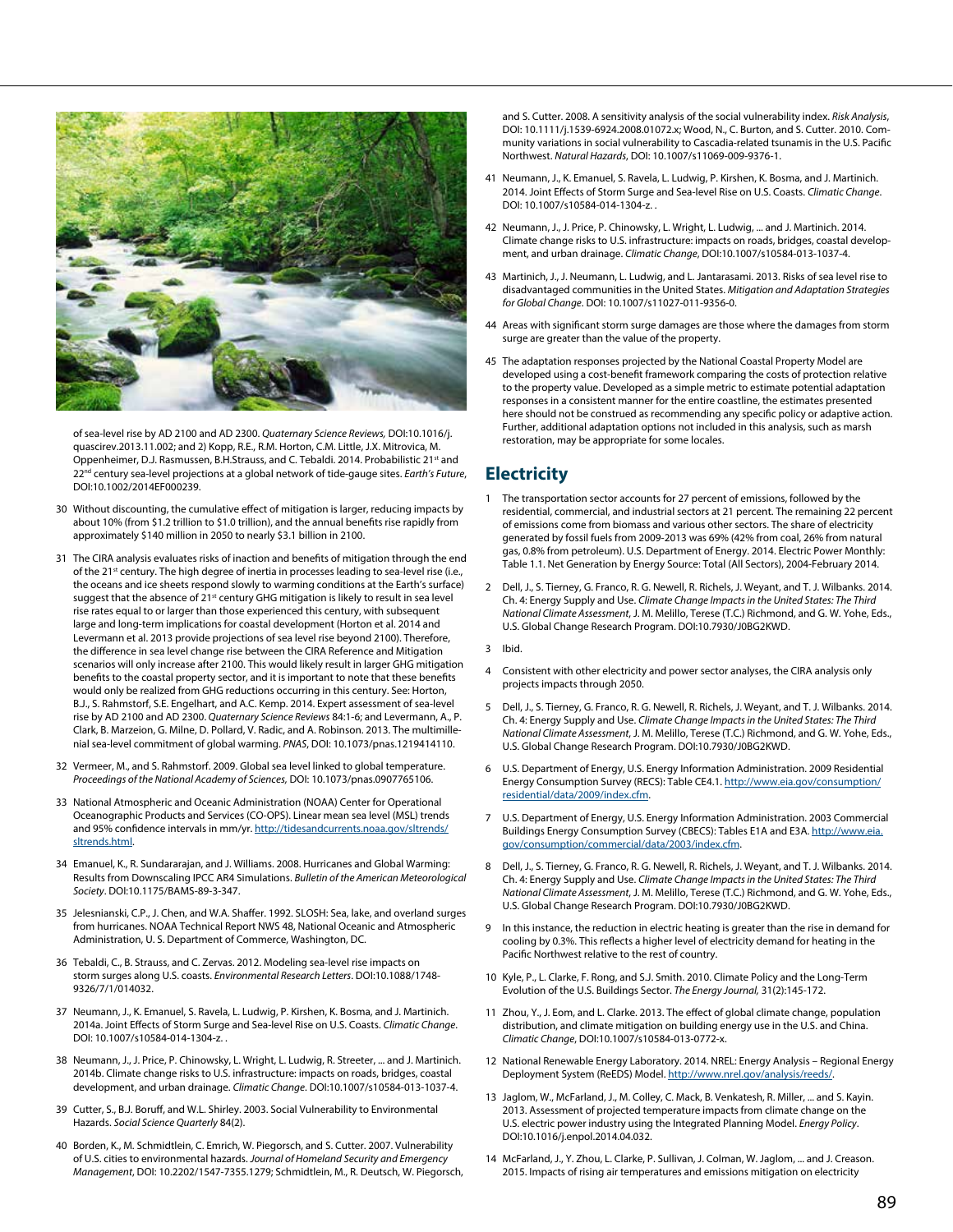

of sea-level rise by AD 2100 and AD 2300. *Quaternary Science Reviews,* DOI:10.1016/j. quascirev.2013.11.002; and 2) Kopp, R.E., R.M. Horton, C.M. Little, J.X. Mitrovica, M. Oppenheimer, D.J. Rasmussen, B.H.Strauss, and C. Tebaldi. 2014. Probabilistic 21<sup>st</sup> and 22nd century sea-level projections at a global network of tide-gauge sites. *Earth's Future*, DOI:10.1002/2014EF000239.

- 30 Without discounting, the cumulative effect of mitigation is larger, reducing impacts by about 10% (from \$1.2 trillion to \$1.0 trillion), and the annual benefits rise rapidly from approximately \$140 million in 2050 to nearly \$3.1 billion in 2100.
- 31 The CIRA analysis evaluates risks of inaction and benefits of mitigation through the end of the 21<sup>st</sup> century. The high degree of inertia in processes leading to sea-level rise (i.e., the oceans and ice sheets respond slowly to warming conditions at the Earth's surface) suggest that the absence of 21<sup>st</sup> century GHG mitigation is likely to result in sea level rise rates equal to or larger than those experienced this century, with subsequent large and long-term implications for coastal development (Horton et al. 2014 and Levermann et al. 2013 provide projections of sea level rise beyond 2100). Therefore, the difference in sea level change rise between the CIRA Reference and Mitigation scenarios will only increase after 2100. This would likely result in larger GHG mitigation benefits to the coastal property sector, and it is important to note that these benefits would only be realized from GHG reductions occurring in this century. See: Horton, B.J., S. Rahmstorf, S.E. Engelhart, and A.C. Kemp. 2014. Expert assessment of sea-level rise by AD 2100 and AD 2300. *Quaternary Science Reviews* 84:1-6; and Levermann, A., P. Clark, B. Marzeion, G. Milne, D. Pollard, V. Radic, and A. Robinson. 2013. The multimillenial sea-level commitment of global warming. *PNAS*, DOI: 10.1073/pnas.1219414110.
- 32 Vermeer, M., and S. Rahmstorf. 2009. Global sea level linked to global temperature. *Proceedings of the National Academy of Sciences,* DOI: 10.1073/pnas.0907765106.
- 33 National Atmospheric and Oceanic Administration (NOAA) Center for Operational Oceanographic Products and Services (CO-OPS). Linear mean sea level (MSL) trends and 95% confidence intervals in mm/yr. [http://tidesandcurrents.noaa.gov/sltrends/](http://tidesandcurrents.noaa.gov/sltrends/sltrends.html) [sltrends.html](http://tidesandcurrents.noaa.gov/sltrends/sltrends.html).
- 34 Emanuel, K., R. Sundararajan, and J. Williams. 2008. Hurricanes and Global Warming: Results from Downscaling IPCC AR4 Simulations. *Bulletin of the American Meteorological Society*. DOI:10.1175/BAMS-89-3-347.
- 35 Jelesnianski, C.P., J. Chen, and W.A. Shaffer. 1992. SLOSH: Sea, lake, and overland surges from hurricanes. NOAA Technical Report NWS 48, National Oceanic and Atmospheric Administration, U. S. Department of Commerce, Washington, DC.
- 36 Tebaldi, C., B. Strauss, and C. Zervas. 2012. Modeling sea-level rise impacts on storm surges along U.S. coasts. *Environmental Research Letters*. DOI:10.1088/1748- 9326/7/1/014032.
- 37 Neumann, J., K. Emanuel, S. Ravela, L. Ludwig, P. Kirshen, K. Bosma, and J. Martinich. 2014a. Joint Effects of Storm Surge and Sea-level Rise on U.S. Coasts. *Climatic Change*. DOI: 10.1007/s10584-014-1304-z. .
- 38 Neumann, J., J. Price, P. Chinowsky, L. Wright, L. Ludwig, R. Streeter, ... and J. Martinich. 2014b. Climate change risks to U.S. infrastructure: impacts on roads, bridges, coastal development, and urban drainage. *Climatic Change*. DOI:10.1007/s10584-013-1037-4.
- 39 Cutter, S., B.J. Boruff, and W.L. Shirley. 2003. Social Vulnerability to Environmental Hazards. *Social Science Quarterly* 84(2).
- 40 Borden, K., M. Schmidtlein, C. Emrich, W. Piegorsch, and S. Cutter. 2007. Vulnerability of U.S. cities to environmental hazards. *Journal of Homeland Security and Emergency Management*, DOI: 10.2202/1547-7355.1279; Schmidtlein, M., R. Deutsch, W. Piegorsch,

and S. Cutter. 2008. A sensitivity analysis of the social vulnerability index. *Risk Analysis*, DOI: 10.1111/j.1539-6924.2008.01072.x; Wood, N., C. Burton, and S. Cutter. 2010. Community variations in social vulnerability to Cascadia-related tsunamis in the U.S. Pacific Northwest. *Natural Hazards*, DOI: 10.1007/s11069-009-9376-1.

- 41 Neumann, J., K. Emanuel, S. Ravela, L. Ludwig, P. Kirshen, K. Bosma, and J. Martinich. 2014. Joint Effects of Storm Surge and Sea-level Rise on U.S. Coasts. *Climatic Change*. DOI: 10.1007/s10584-014-1304-z. .
- 42 Neumann, J., J. Price, P. Chinowsky, L. Wright, L. Ludwig, ... and J. Martinich. 2014. Climate change risks to U.S. infrastructure: impacts on roads, bridges, coastal development, and urban drainage. *Climatic Change*, DOI:10.1007/s10584-013-1037-4.
- 43 Martinich, J., J. Neumann, L. Ludwig, and L. Jantarasami. 2013. Risks of sea level rise to disadvantaged communities in the United States. *Mitigation and Adaptation Strategies for Global Change*. DOI: 10.1007/s11027-011-9356-0.
- 44 Areas with significant storm surge damages are those where the damages from storm surge are greater than the value of the property.
- 45 The adaptation responses projected by the National Coastal Property Model are developed using a cost-benefit framework comparing the costs of protection relative to the property value. Developed as a simple metric to estimate potential adaptation responses in a consistent manner for the entire coastline, the estimates presented here should not be construed as recommending any specific policy or adaptive action. Further, additional adaptation options not included in this analysis, such as marsh restoration, may be appropriate for some locales.

## **Electricity**

- 1 The transportation sector accounts for 27 percent of emissions, followed by the residential, commercial, and industrial sectors at 21 percent. The remaining 22 percent of emissions come from biomass and various other sectors. The share of electricity generated by fossil fuels from 2009-2013 was 69% (42% from coal, 26% from natural gas, 0.8% from petroleum). U.S. Department of Energy. 2014. Electric Power Monthly: Table 1.1. Net Generation by Energy Source: Total (All Sectors), 2004-February 2014.
- 2 Dell, J., S. Tierney, G. Franco, R. G. Newell, R. Richels, J. Weyant, and T. J. Wilbanks. 2014. Ch. 4: Energy Supply and Use. *Climate Change Impacts in the United States: The Third National Climate Assessment*, J. M. Melillo, Terese (T.C.) Richmond, and G. W. Yohe, Eds., U.S. Global Change Research Program. DOI:10.7930/J0BG2KWD.
- 3 Ibid.
- 4 Consistent with other electricity and power sector analyses, the CIRA analysis only projects impacts through 2050.
- 5 Dell, J., S. Tierney, G. Franco, R. G. Newell, R. Richels, J. Weyant, and T. J. Wilbanks. 2014. Ch. 4: Energy Supply and Use. *Climate Change Impacts in the United States: The Third National Climate Assessment*, J. M. Melillo, Terese (T.C.) Richmond, and G. W. Yohe, Eds., U.S. Global Change Research Program. DOI:10.7930/J0BG2KWD.
- 6 U.S. Department of Energy, U.S. Energy Information Administration. 2009 Residential Energy Consumption Survey (RECS): Table CE4.1. [http://www.eia.gov/consumption/](http://www.eia.gov/consumption/residential/data/2009/index.cfm) [residential/data/2009/index.cfm.](http://www.eia.gov/consumption/residential/data/2009/index.cfm)
- 7 U.S. Department of Energy, U.S. Energy Information Administration. 2003 Commercial Buildings Energy Consumption Survey (CBECS): Tables E1A and E3A. [http://www.eia.](http://www.eia.gov/consumption/commercial/data/2003/index.cfm) [gov/consumption/commercial/data/2003/index.cfm](http://www.eia.gov/consumption/commercial/data/2003/index.cfm).
- 8 Dell, J., S. Tierney, G. Franco, R. G. Newell, R. Richels, J. Weyant, and T. J. Wilbanks. 2014. Ch. 4: Energy Supply and Use. *Climate Change Impacts in the United States: The Third National Climate Assessment*, J. M. Melillo, Terese (T.C.) Richmond, and G. W. Yohe, Eds., U.S. Global Change Research Program. DOI:10.7930/J0BG2KWD.
- 9 In this instance, the reduction in electric heating is greater than the rise in demand for cooling by 0.3%. This reflects a higher level of electricity demand for heating in the Pacific Northwest relative to the rest of country.
- 10 Kyle, P., L. Clarke, F. Rong, and S.J. Smith. 2010. Climate Policy and the Long-Term Evolution of the U.S. Buildings Sector. *The Energy Journal,* 31(2):145-172.
- 11 Zhou, Y., J. Eom, and L. Clarke. 2013. The effect of global climate change, population distribution, and climate mitigation on building energy use in the U.S. and China. *Climatic Change*, DOI:10.1007/s10584-013-0772-x.
- 12 National Renewable Energy Laboratory. 2014. NREL: Energy Analysis Regional Energy Deployment System (ReEDS) Model. [http://www.nrel.gov/analysis/reeds/.](http://www.nrel.gov/analysis/reeds/)
- 13 Jaglom, W., McFarland, J., M. Colley, C. Mack, B. Venkatesh, R. Miller, ... and S. Kayin. 2013. Assessment of projected temperature impacts from climate change on the U.S. electric power industry using the Integrated Planning Model. *Energy Policy*. DOI:10.1016/j.enpol.2014.04.032.
- 14 McFarland, J., Y. Zhou, L. Clarke, P. Sullivan, J. Colman, W. Jaglom, ... and J. Creason. 2015. Impacts of rising air temperatures and emissions mitigation on electricity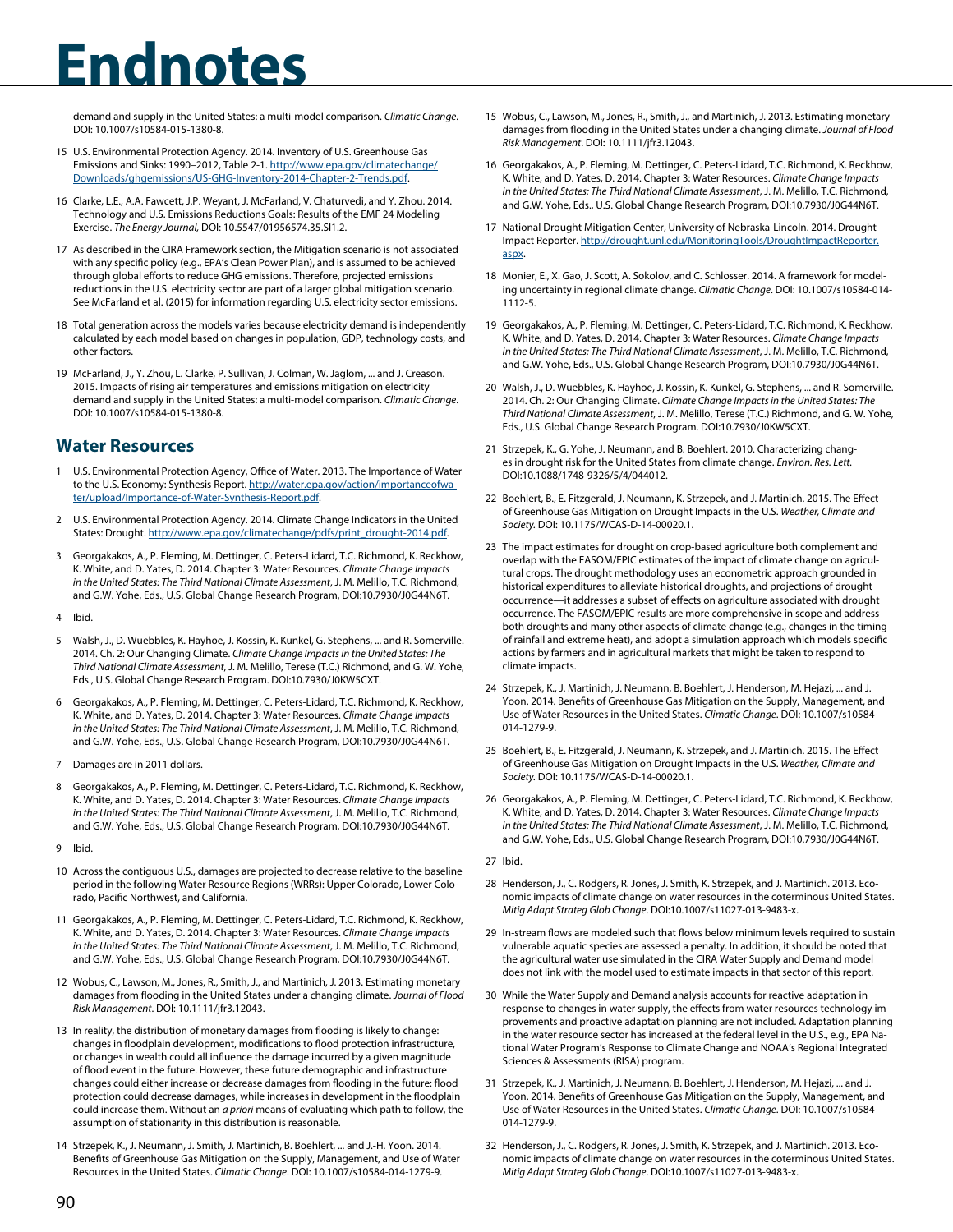demand and supply in the United States: a multi-model comparison. *Climatic Change*. DOI: 10.1007/s10584-015-1380-8.

- 15 U.S. Environmental Protection Agency. 2014. Inventory of U.S. Greenhouse Gas Emissions and Sinks: 1990–2012, Table 2-1. [http://www.epa.gov/climatechange/](http://www.epa.gov/climatechange/Downloads/ghgemissions/US-GHG-Inventory-2014-Chapter-2-Trends.pdf) [Downloads/ghgemissions/US-GHG-Inventory-2014-Chapter-2-Trends.pdf.](http://www.epa.gov/climatechange/Downloads/ghgemissions/US-GHG-Inventory-2014-Chapter-2-Trends.pdf)
- 16 Clarke, L.E., A.A. Fawcett, J.P. Weyant, J. McFarland, V. Chaturvedi, and Y. Zhou. 2014. Technology and U.S. Emissions Reductions Goals: Results of the EMF 24 Modeling Exercise. *The Energy Journal,* DOI: 10.5547/01956574.35.SI1.2.
- 17 As described in the CIRA Framework section, the Mitigation scenario is not associated with any specific policy (e.g., EPA's Clean Power Plan), and is assumed to be achieved through global efforts to reduce GHG emissions. Therefore, projected emissions reductions in the U.S. electricity sector are part of a larger global mitigation scenario. See McFarland et al. (2015) for information regarding U.S. electricity sector emissions.
- 18 Total generation across the models varies because electricity demand is independently calculated by each model based on changes in population, GDP, technology costs, and other factors.
- 19 McFarland, J., Y. Zhou, L. Clarke, P. Sullivan, J. Colman, W. Jaglom, ... and J. Creason. 2015. Impacts of rising air temperatures and emissions mitigation on electricity demand and supply in the United States: a multi-model comparison. *Climatic Change*. DOI: 10.1007/s10584-015-1380-8.

## **Water Resources**

- U.S. Environmental Protection Agency, Office of Water. 2013. The Importance of Water to the U.S. Economy: Synthesis Report. [http://water.epa.gov/action/importanceofwa](http://water.epa.gov/action/importanceofwater/upload/Importance-of-Water-Synthesis-Report.pdf)[ter/upload/Importance-of-Water-Synthesis-Report.pdf.](http://water.epa.gov/action/importanceofwater/upload/Importance-of-Water-Synthesis-Report.pdf)
- 2 U.S. Environmental Protection Agency. 2014. Climate Change Indicators in the United States: Drought. [http://www.epa.gov/climatechange/pdfs/print\\_drought-2014.pdf](http://www.epa.gov/climatechange/pdfs/print_drought-2014.pdf).
- 3 Georgakakos, A., P. Fleming, M. Dettinger, C. Peters-Lidard, T.C. Richmond, K. Reckhow, K. White, and D. Yates, D. 2014. Chapter 3: Water Resources. *Climate Change Impacts in the United States: The Third National Climate Assessment*, J. M. Melillo, T.C. Richmond, and G.W. Yohe, Eds., U.S. Global Change Research Program, DOI:10.7930/J0G44N6T.
- 4 Ibid.
- 5 Walsh, J., D. Wuebbles, K. Hayhoe, J. Kossin, K. Kunkel, G. Stephens, ... and R. Somerville. 2014. Ch. 2: Our Changing Climate. *Climate Change Impacts in the United States: The Third National Climate Assessment*, J. M. Melillo, Terese (T.C.) Richmond, and G. W. Yohe, Eds., U.S. Global Change Research Program. DOI:10.7930/J0KW5CXT.
- 6 Georgakakos, A., P. Fleming, M. Dettinger, C. Peters-Lidard, T.C. Richmond, K. Reckhow, K. White, and D. Yates, D. 2014. Chapter 3: Water Resources. *Climate Change Impacts in the United States: The Third National Climate Assessment*, J. M. Melillo, T.C. Richmond, and G.W. Yohe, Eds., U.S. Global Change Research Program, DOI:10.7930/J0G44N6T.
- 7 Damages are in 2011 dollars.
- 8 Georgakakos, A., P. Fleming, M. Dettinger, C. Peters-Lidard, T.C. Richmond, K. Reckhow, K. White, and D. Yates, D. 2014. Chapter 3: Water Resources. *Climate Change Impacts in the United States: The Third National Climate Assessment*, J. M. Melillo, T.C. Richmond, and G.W. Yohe, Eds., U.S. Global Change Research Program, DOI:10.7930/J0G44N6T.
- 9 Ibid.
- 10 Across the contiguous U.S., damages are projected to decrease relative to the baseline period in the following Water Resource Regions (WRRs): Upper Colorado, Lower Colorado, Pacific Northwest, and California.
- 11 Georgakakos, A., P. Fleming, M. Dettinger, C. Peters-Lidard, T.C. Richmond, K. Reckhow, K. White, and D. Yates, D. 2014. Chapter 3: Water Resources. *Climate Change Impacts in the United States: The Third National Climate Assessment*, J. M. Melillo, T.C. Richmond, and G.W. Yohe, Eds., U.S. Global Change Research Program, DOI:10.7930/J0G44N6T.
- 12 Wobus, C., Lawson, M., Jones, R., Smith, J., and Martinich, J. 2013. Estimating monetary damages from flooding in the United States under a changing climate. *Journal of Flood Risk Management*. DOI: 10.1111/jfr3.12043.
- 13 In reality, the distribution of monetary damages from flooding is likely to change: changes in floodplain development, modifications to flood protection infrastructure, or changes in wealth could all influence the damage incurred by a given magnitude of flood event in the future. However, these future demographic and infrastructure changes could either increase or decrease damages from flooding in the future: flood protection could decrease damages, while increases in development in the floodplain could increase them. Without an *a priori* means of evaluating which path to follow, the assumption of stationarity in this distribution is reasonable.
- 14 Strzepek, K., J. Neumann, J. Smith, J. Martinich, B. Boehlert, ... and J.-H. Yoon. 2014. Benefits of Greenhouse Gas Mitigation on the Supply, Management, and Use of Water Resources in the United States. *Climatic Change*. DOI: 10.1007/s10584-014-1279-9.
- 15 Wobus, C., Lawson, M., Jones, R., Smith, J., and Martinich, J. 2013. Estimating monetary damages from flooding in the United States under a changing climate. *Journal of Flood Risk Management*. DOI: 10.1111/jfr3.12043.
- 16 Georgakakos, A., P. Fleming, M. Dettinger, C. Peters-Lidard, T.C. Richmond, K. Reckhow, K. White, and D. Yates, D. 2014. Chapter 3: Water Resources. *Climate Change Impacts in the United States: The Third National Climate Assessment*, J. M. Melillo, T.C. Richmond, and G.W. Yohe, Eds., U.S. Global Change Research Program, DOI:10.7930/J0G44N6T.
- 17 National Drought Mitigation Center, University of Nebraska-Lincoln. 2014. Drought Impact Reporter. [http://drought.unl.edu/MonitoringTools/DroughtImpactReporter.](http://drought.unl.edu/MonitoringTools/DroughtImpactReporter.aspx) [aspx](http://drought.unl.edu/MonitoringTools/DroughtImpactReporter.aspx).
- 18 Monier, E., X. Gao, J. Scott, A. Sokolov, and C. Schlosser. 2014. A framework for modeling uncertainty in regional climate change. *Climatic Change*. DOI: 10.1007/s10584-014- 1112-5.
- 19 Georgakakos, A., P. Fleming, M. Dettinger, C. Peters-Lidard, T.C. Richmond, K. Reckhow, K. White, and D. Yates, D. 2014. Chapter 3: Water Resources. *Climate Change Impacts in the United States: The Third National Climate Assessment*, J. M. Melillo, T.C. Richmond, and G.W. Yohe, Eds., U.S. Global Change Research Program, DOI:10.7930/J0G44N6T.
- 20 Walsh, J., D. Wuebbles, K. Hayhoe, J. Kossin, K. Kunkel, G. Stephens, ... and R. Somerville. 2014. Ch. 2: Our Changing Climate. *Climate Change Impacts in the United States: The Third National Climate Assessment*, J. M. Melillo, Terese (T.C.) Richmond, and G. W. Yohe, Eds., U.S. Global Change Research Program. DOI:10.7930/J0KW5CXT.
- 21 Strzepek, K., G. Yohe, J. Neumann, and B. Boehlert. 2010. Characterizing changes in drought risk for the United States from climate change. *Environ. Res. Lett.* DOI:10.1088/1748-9326/5/4/044012.
- 22 Boehlert, B., E. Fitzgerald, J. Neumann, K. Strzepek, and J. Martinich. 2015. The Effect of Greenhouse Gas Mitigation on Drought Impacts in the U.S. *Weather, Climate and Society.* DOI: 10.1175/WCAS-D-14-00020.1.
- 23 The impact estimates for drought on crop-based agriculture both complement and overlap with the FASOM/EPIC estimates of the impact of climate change on agricultural crops. The drought methodology uses an econometric approach grounded in historical expenditures to alleviate historical droughts, and projections of drought occurrence—it addresses a subset of effects on agriculture associated with drought occurrence. The FASOM/EPIC results are more comprehensive in scope and address both droughts and many other aspects of climate change (e.g., changes in the timing of rainfall and extreme heat), and adopt a simulation approach which models specific actions by farmers and in agricultural markets that might be taken to respond to climate impacts.
- 24 Strzepek, K., J. Martinich, J. Neumann, B. Boehlert, J. Henderson, M. Hejazi, ... and J. Yoon. 2014. Benefits of Greenhouse Gas Mitigation on the Supply, Management, and Use of Water Resources in the United States. *Climatic Change*. DOI: 10.1007/s10584- 014-1279-9.
- 25 Boehlert, B., E. Fitzgerald, J. Neumann, K. Strzepek, and J. Martinich. 2015. The Effect of Greenhouse Gas Mitigation on Drought Impacts in the U.S. *Weather, Climate and Society.* DOI: 10.1175/WCAS-D-14-00020.1.
- 26 Georgakakos, A., P. Fleming, M. Dettinger, C. Peters-Lidard, T.C. Richmond, K. Reckhow, K. White, and D. Yates, D. 2014. Chapter 3: Water Resources. *Climate Change Impacts in the United States: The Third National Climate Assessment*, J. M. Melillo, T.C. Richmond, and G.W. Yohe, Eds., U.S. Global Change Research Program, DOI:10.7930/J0G44N6T.
- 27 Ibid.
- 28 Henderson, J., C. Rodgers, R. Jones, J. Smith, K. Strzepek, and J. Martinich. 2013. Economic impacts of climate change on water resources in the coterminous United States. *Mitig Adapt Strateg Glob Change*. DOI:10.1007/s11027-013-9483-x.
- 29 In-stream flows are modeled such that flows below minimum levels required to sustain vulnerable aquatic species are assessed a penalty. In addition, it should be noted that the agricultural water use simulated in the CIRA Water Supply and Demand model does not link with the model used to estimate impacts in that sector of this report.
- 30 While the Water Supply and Demand analysis accounts for reactive adaptation in response to changes in water supply, the effects from water resources technology improvements and proactive adaptation planning are not included. Adaptation planning in the water resource sector has increased at the federal level in the U.S., e.g., EPA National Water Program's [Response to Climate Change](http://water.epa.gov/scitech/climatechange/) and NOAA's [Regional Integrated](http://cpo.noaa.gov/ClimatePrograms/ClimateandSocietalInteractions/RISAProgram.aspx)  [Sciences & Assessments](http://cpo.noaa.gov/ClimatePrograms/ClimateandSocietalInteractions/RISAProgram.aspx) (RISA) program.
- 31 Strzepek, K., J. Martinich, J. Neumann, B. Boehlert, J. Henderson, M. Hejazi, ... and J. Yoon. 2014. Benefits of Greenhouse Gas Mitigation on the Supply, Management, and Use of Water Resources in the United States. *Climatic Change*. DOI: 10.1007/s10584- 014-1279-9.
- 32 Henderson, J., C. Rodgers, R. Jones, J. Smith, K. Strzepek, and J. Martinich. 2013. Economic impacts of climate change on water resources in the coterminous United States. *Mitig Adapt Strateg Glob Change*. DOI:10.1007/s11027-013-9483-x.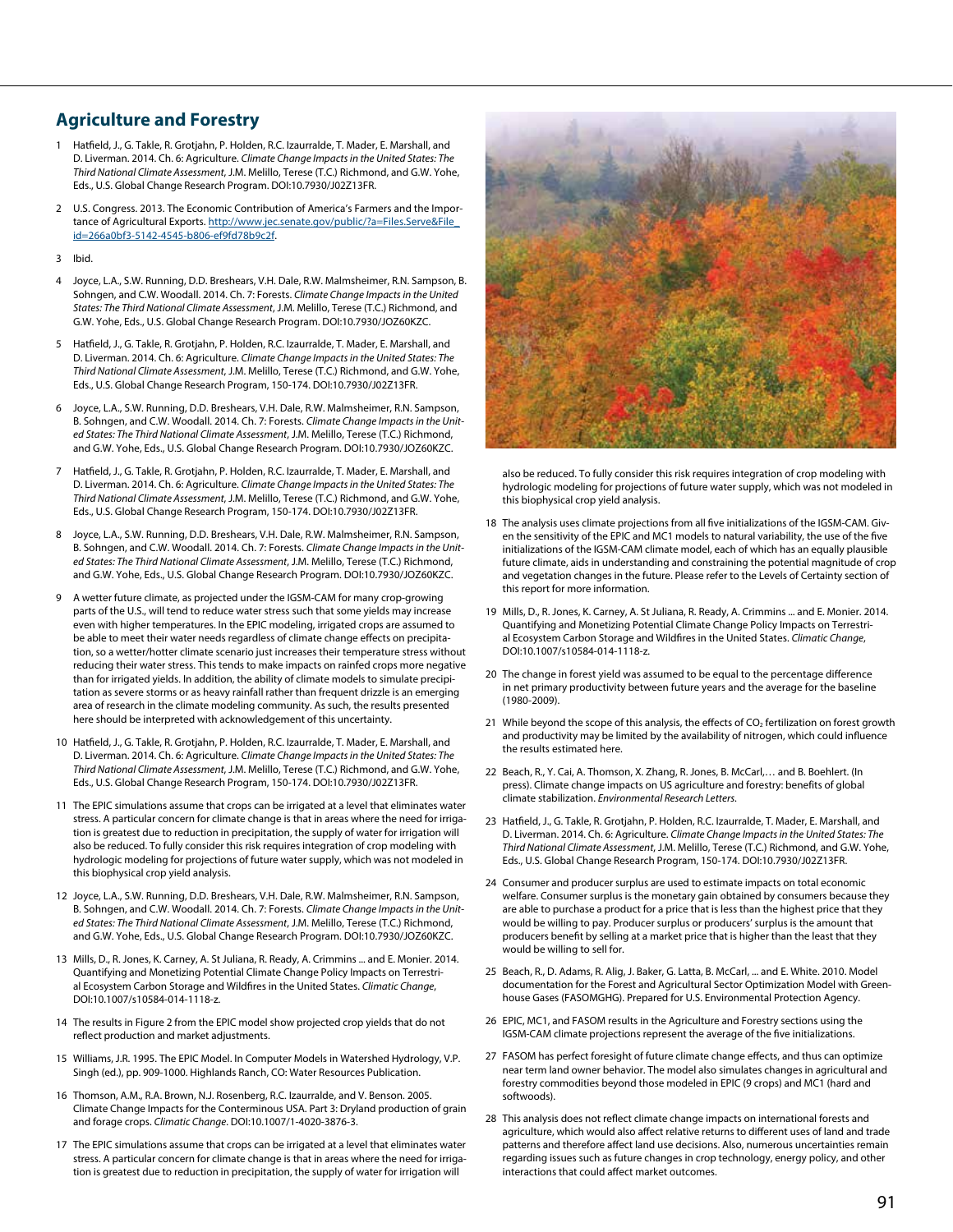## **Agriculture and Forestry**

- Hatfield, J., G. Takle, R. Grotjahn, P. Holden, R.C. Izaurralde, T. Mader, E. Marshall, and D. Liverman. 2014. Ch. 6: Agriculture. *Climate Change Impacts in the United States: The Third National Climate Assessment*, J.M. Melillo, Terese (T.C.) Richmond, and G.W. Yohe, Eds., U.S. Global Change Research Program. DOI:10.7930/J02Z13FR.
- 2 U.S. Congress. 2013. The Economic Contribution of America's Farmers and the Importance of Agricultural Exports. [http://www.jec.senate.gov/public/?a=Files.Serve&File\\_](http://www.jec.senate.gov/public/?a=Files.Serve&File_id=266a0bf3-5142-4545-b806-ef9fd78b9c2f) [id=266a0bf3-5142-4545-b806-ef9fd78b9c2f](http://www.jec.senate.gov/public/?a=Files.Serve&File_id=266a0bf3-5142-4545-b806-ef9fd78b9c2f).
- 3 Ibid.
- 4 Joyce, L.A., S.W. Running, D.D. Breshears, V.H. Dale, R.W. Malmsheimer, R.N. Sampson, B. Sohngen, and C.W. Woodall. 2014. Ch. 7: Forests. *Climate Change Impacts in the United States: The Third National Climate Assessment*, J.M. Melillo, Terese (T.C.) Richmond, and G.W. Yohe, Eds., U.S. Global Change Research Program. DOI:10.7930/JOZ60KZC.
- 5 Hatfield, J., G. Takle, R. Grotjahn, P. Holden, R.C. Izaurralde, T. Mader, E. Marshall, and D. Liverman. 2014. Ch. 6: Agriculture. *Climate Change Impacts in the United States: The Third National Climate Assessment*, J.M. Melillo, Terese (T.C.) Richmond, and G.W. Yohe, Eds., U.S. Global Change Research Program, 150-174. DOI:10.7930/J02Z13FR.
- 6 Joyce, L.A., S.W. Running, D.D. Breshears, V.H. Dale, R.W. Malmsheimer, R.N. Sampson, B. Sohngen, and C.W. Woodall. 2014. Ch. 7: Forests. *Climate Change Impacts in the United States: The Third National Climate Assessment*, J.M. Melillo, Terese (T.C.) Richmond, and G.W. Yohe, Eds., U.S. Global Change Research Program. DOI:10.7930/JOZ60KZC.
- 7 Hatfield, J., G. Takle, R. Grotjahn, P. Holden, R.C. Izaurralde, T. Mader, E. Marshall, and D. Liverman. 2014. Ch. 6: Agriculture. *Climate Change Impacts in the United States: The Third National Climate Assessment*, J.M. Melillo, Terese (T.C.) Richmond, and G.W. Yohe, Eds., U.S. Global Change Research Program, 150-174. DOI:10.7930/J02Z13FR.
- 8 Joyce, L.A., S.W. Running, D.D. Breshears, V.H. Dale, R.W. Malmsheimer, R.N. Sampson, B. Sohngen, and C.W. Woodall. 2014. Ch. 7: Forests. *Climate Change Impacts in the United States: The Third National Climate Assessment*, J.M. Melillo, Terese (T.C.) Richmond, and G.W. Yohe, Eds., U.S. Global Change Research Program. DOI:10.7930/JOZ60KZC.
- 9 A wetter future climate, as projected under the IGSM-CAM for many crop-growing parts of the U.S., will tend to reduce water stress such that some yields may increase even with higher temperatures. In the EPIC modeling, irrigated crops are assumed to be able to meet their water needs regardless of climate change effects on precipitation, so a wetter/hotter climate scenario just increases their temperature stress without reducing their water stress. This tends to make impacts on rainfed crops more negative than for irrigated yields. In addition, the ability of climate models to simulate precipitation as severe storms or as heavy rainfall rather than frequent drizzle is an emerging area of research in the climate modeling community. As such, the results presented here should be interpreted with acknowledgement of this uncertainty.
- 10 Hatfield, J., G. Takle, R. Grotjahn, P. Holden, R.C. Izaurralde, T. Mader, E. Marshall, and D. Liverman. 2014. Ch. 6: Agriculture. *Climate Change Impacts in the United States: The Third National Climate Assessment*, J.M. Melillo, Terese (T.C.) Richmond, and G.W. Yohe, Eds., U.S. Global Change Research Program, 150-174. DOI:10.7930/J02Z13FR.
- 11 The EPIC simulations assume that crops can be irrigated at a level that eliminates water stress. A particular concern for climate change is that in areas where the need for irrigation is greatest due to reduction in precipitation, the supply of water for irrigation will also be reduced. To fully consider this risk requires integration of crop modeling with hydrologic modeling for projections of future water supply, which was not modeled in this biophysical crop yield analysis.
- 12 Joyce, L.A., S.W. Running, D.D. Breshears, V.H. Dale, R.W. Malmsheimer, R.N. Sampson, B. Sohngen, and C.W. Woodall. 2014. Ch. 7: Forests. *Climate Change Impacts in the United States: The Third National Climate Assessment*, J.M. Melillo, Terese (T.C.) Richmond, and G.W. Yohe, Eds., U.S. Global Change Research Program. DOI:10.7930/JOZ60KZC.
- 13 Mills, D., R. Jones, K. Carney, A. St Juliana, R. Ready, A. Crimmins ... and E. Monier. 2014. Quantifying and Monetizing Potential Climate Change Policy Impacts on Terrestrial Ecosystem Carbon Storage and Wildfires in the United States. *Climatic Change*, DOI:10.1007/s10584-014-1118-z.
- 14 The results in Figure 2 from the EPIC model show projected crop yields that do not reflect production and market adjustments.
- 15 Williams, J.R. 1995. The EPIC Model. In Computer Models in Watershed Hydrology, V.P. Singh (ed.), pp. 909-1000. Highlands Ranch, CO: Water Resources Publication.
- 16 Thomson, A.M., R.A. Brown, N.J. Rosenberg, R.C. Izaurralde, and V. Benson. 2005. Climate Change Impacts for the Conterminous USA. Part 3: Dryland production of grain and forage crops. *Climatic Change*. DOI:10.1007/1-4020-3876-3.
- 17 The EPIC simulations assume that crops can be irrigated at a level that eliminates water stress. A particular concern for climate change is that in areas where the need for irrigation is greatest due to reduction in precipitation, the supply of water for irrigation will



also be reduced. To fully consider this risk requires integration of crop modeling with hydrologic modeling for projections of future water supply, which was not modeled in this biophysical crop yield analysis.

- 18 The analysis uses climate projections from all five initializations of the IGSM-CAM. Given the sensitivity of the EPIC and MC1 models to natural variability, the use of the five initializations of the IGSM-CAM climate model, each of which has an equally plausible future climate, aids in understanding and constraining the potential magnitude of crop and vegetation changes in the future. Please refer to the Levels of Certainty section of this report for more information.
- 19 Mills, D., R. Jones, K. Carney, A. St Juliana, R. Ready, A. Crimmins ... and E. Monier. 2014. Quantifying and Monetizing Potential Climate Change Policy Impacts on Terrestrial Ecosystem Carbon Storage and Wildfires in the United States. *Climatic Change*, DOI:10.1007/s10584-014-1118-z.
- 20 The change in forest yield was assumed to be equal to the percentage difference in net primary productivity between future years and the average for the baseline (1980-2009).
- 21 While beyond the scope of this analysis, the effects of  $CO<sub>2</sub>$  fertilization on forest growth and productivity may be limited by the availability of nitrogen, which could influence the results estimated here.
- 22 Beach, R., Y. Cai, A. Thomson, X. Zhang, R. Jones, B. McCarl,… and B. Boehlert. (In press). Climate change impacts on US agriculture and forestry: benefits of global climate stabilization. *Environmental Research Letters*.
- 23 Hatfield, J., G. Takle, R. Grotjahn, P. Holden, R.C. Izaurralde, T. Mader, E. Marshall, and D. Liverman. 2014. Ch. 6: Agriculture. *Climate Change Impacts in the United States: The Third National Climate Assessment*, J.M. Melillo, Terese (T.C.) Richmond, and G.W. Yohe, Eds., U.S. Global Change Research Program, 150-174. DOI:10.7930/J02Z13FR.
- 24 Consumer and producer surplus are used to estimate impacts on total economic welfare. Consumer surplus is the monetary gain obtained by consumers because they are able to purchase a product for a price that is less than the highest price that they would be willing to pay. Producer surplus or producers' surplus is the amount that producers benefit by selling at a market price that is higher than the least that they would be willing to sell for.
- 25 Beach, R., D. Adams, R. Alig, J. Baker, G. Latta, B. McCarl, ... and E. White. 2010. Model documentation for the Forest and Agricultural Sector Optimization Model with Greenhouse Gases (FASOMGHG). Prepared for U.S. Environmental Protection Agency.
- 26 EPIC, MC1, and FASOM results in the Agriculture and Forestry sections using the IGSM-CAM climate projections represent the average of the five initializations.
- 27 FASOM has perfect foresight of future climate change effects, and thus can optimize near term land owner behavior. The model also simulates changes in agricultural and forestry commodities beyond those modeled in EPIC (9 crops) and MC1 (hard and softwoods).
- 28 This analysis does not reflect climate change impacts on international forests and agriculture, which would also affect relative returns to different uses of land and trade patterns and therefore affect land use decisions. Also, numerous uncertainties remain regarding issues such as future changes in crop technology, energy policy, and other interactions that could affect market outcomes.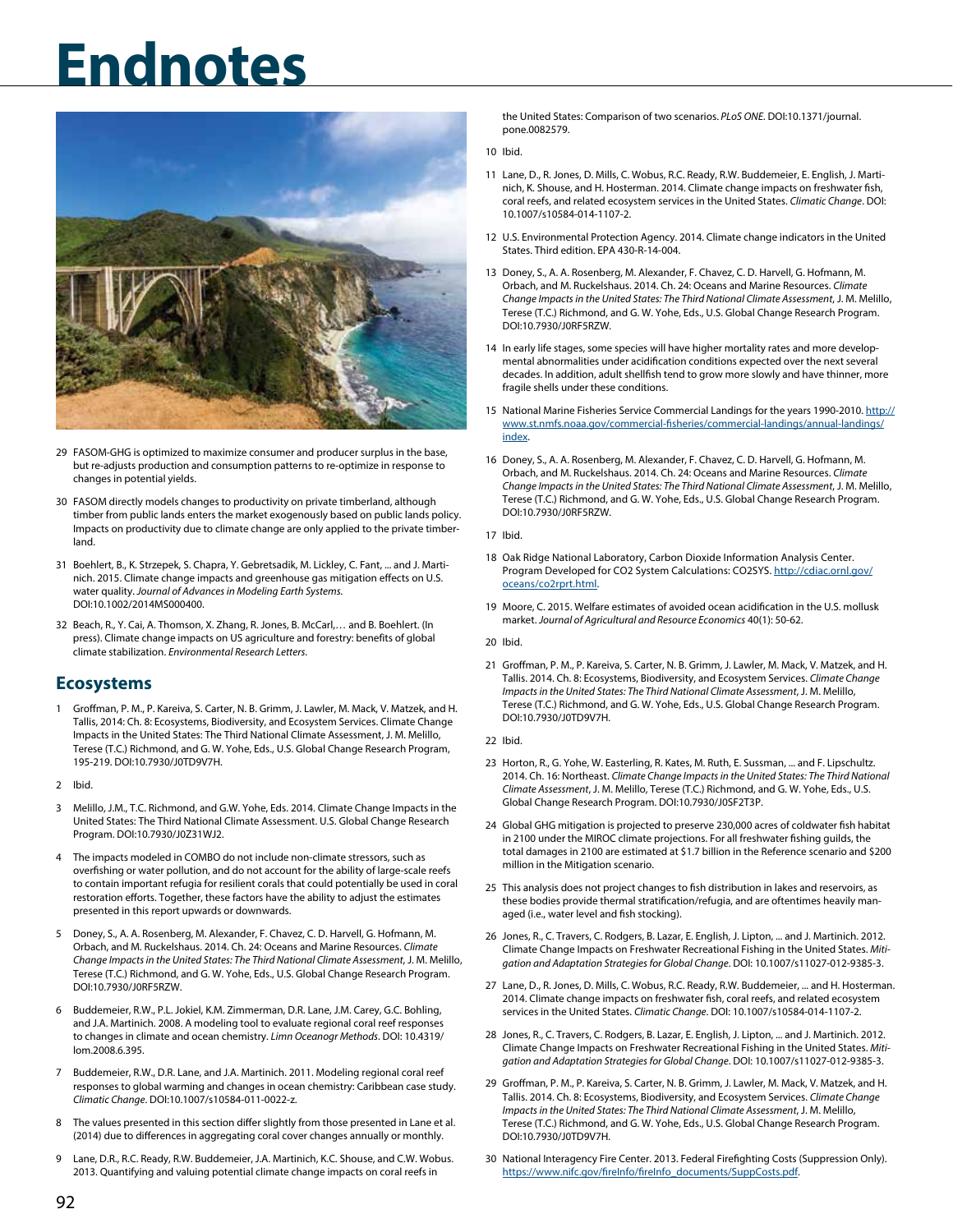

- 29 FASOM-GHG is optimized to maximize consumer and producer surplus in the base, but re-adjusts production and consumption patterns to re-optimize in response to changes in potential yields.
- 30 FASOM directly models changes to productivity on private timberland, although timber from public lands enters the market exogenously based on public lands policy. Impacts on productivity due to climate change are only applied to the private timberland.
- 31 Boehlert, B., K. Strzepek, S. Chapra, Y. Gebretsadik, M. Lickley, C. Fant, ... and J. Martinich. 2015. Climate change impacts and greenhouse gas mitigation effects on U.S. water quality. Journal of Advances in Modeling Earth Systems. DOI:10.1002/2014MS000400.
- 32 Beach, R., Y. Cai, A. Thomson, X. Zhang, R. Jones, B. McCarl,… and B. Boehlert. (In press). Climate change impacts on US agriculture and forestry: benefits of global climate stabilization. *Environmental Research Letters*.

## **Ecosystems**

- 1 Groffman, P. M., P. Kareiva, S. Carter, N. B. Grimm, J. Lawler, M. Mack, V. Matzek, and H. Tallis, 2014: Ch. 8: Ecosystems, Biodiversity, and Ecosystem Services. Climate Change Impacts in the United States: The Third National Climate Assessment, J. M. Melillo, Terese (T.C.) Richmond, and G. W. Yohe, Eds., U.S. Global Change Research Program, 195-219. DOI:10.7930/J0TD9V7H.
- 2 Ibid.
- 3 Melillo, J.M., T.C. Richmond, and G.W. Yohe, Eds. 2014. Climate Change Impacts in the United States: The Third National Climate Assessment. U.S. Global Change Research Program. DOI:10.7930/J0Z31WJ2.
- 4 The impacts modeled in COMBO do not include non-climate stressors, such as overfishing or water pollution, and do not account for the ability of large-scale reefs to contain important refugia for resilient corals that could potentially be used in coral restoration efforts. Together, these factors have the ability to adjust the estimates presented in this report upwards or downwards.
- 5 Doney, S., A. A. Rosenberg, M. Alexander, F. Chavez, C. D. Harvell, G. Hofmann, M. Orbach, and M. Ruckelshaus. 2014. Ch. 24: Oceans and Marine Resources. *Climate Change Impacts in the United States: The Third National Climate Assessment*, J. M. Melillo, Terese (T.C.) Richmond, and G. W. Yohe, Eds., U.S. Global Change Research Program. DOI:10.7930/J0RF5RZW.
- 6 Buddemeier, R.W., P.L. Jokiel, K.M. Zimmerman, D.R. Lane, J.M. Carey, G.C. Bohling, and J.A. Martinich. 2008. A modeling tool to evaluate regional coral reef responses to changes in climate and ocean chemistry. *Limn Oceanogr Methods*. DOI: 10.4319/ lom.2008.6.395.
- 7 Buddemeier, R.W., D.R. Lane, and J.A. Martinich. 2011. Modeling regional coral reef responses to global warming and changes in ocean chemistry: Caribbean case study. *Climatic Change*. DOI:10.1007/s10584-011-0022-z.
- 8 The values presented in this section differ slightly from those presented in Lane et al. (2014) due to differences in aggregating coral cover changes annually or monthly.
- 9 Lane, D.R., R.C. Ready, R.W. Buddemeier, J.A. Martinich, K.C. Shouse, and C.W. Wobus. 2013. Quantifying and valuing potential climate change impacts on coral reefs in

the United States: Comparison of two scenarios. *PLoS ONE*. DOI:10.1371/journal. pone.0082579.

- 10 Ibid.
- 11 Lane, D., R. Jones, D. Mills, C. Wobus, R.C. Ready, R.W. Buddemeier, E. English, J. Martinich, K. Shouse, and H. Hosterman. 2014. Climate change impacts on freshwater fish, coral reefs, and related ecosystem services in the United States. *Climatic Change*. DOI: 10.1007/s10584-014-1107-2.
- 12 U.S. Environmental Protection Agency. 2014. Climate change indicators in the United States. Third edition. EPA 430-R-14-004.
- 13 Doney, S., A. A. Rosenberg, M. Alexander, F. Chavez, C. D. Harvell, G. Hofmann, M. Orbach, and M. Ruckelshaus. 2014. Ch. 24: Oceans and Marine Resources. *Climate Change Impacts in the United States: The Third National Climate Assessment*, J. M. Melillo, Terese (T.C.) Richmond, and G. W. Yohe, Eds., U.S. Global Change Research Program. DOI:10.7930/J0RF5RZW.
- 14 In early life stages, some species will have higher mortality rates and more developmental abnormalities under acidification conditions expected over the next several decades. In addition, adult shellfish tend to grow more slowly and have thinner, more fragile shells under these conditions.
- 15 National Marine Fisheries Service Commercial Landings for the years 1990-2010. [http://](http://www.st.nmfs.noaa.gov/commercial-fisheries/commercial-landings/annual-landings/index) [www.st.nmfs.noaa.gov/commercial-fisheries/commercial-landings/annual-landings/](http://www.st.nmfs.noaa.gov/commercial-fisheries/commercial-landings/annual-landings/index) [index](http://www.st.nmfs.noaa.gov/commercial-fisheries/commercial-landings/annual-landings/index).
- 16 Doney, S., A. A. Rosenberg, M. Alexander, F. Chavez, C. D. Harvell, G. Hofmann, M. Orbach, and M. Ruckelshaus. 2014. Ch. 24: Oceans and Marine Resources. *Climate Change Impacts in the United States: The Third National Climate Assessment*, J. M. Melillo, Terese (T.C.) Richmond, and G. W. Yohe, Eds., U.S. Global Change Research Program. DOI:10.7930/J0RF5RZW.

### 17 Ibid.

- 18 Oak Ridge National Laboratory, Carbon Dioxide Information Analysis Center. Program Developed for CO2 System Calculations: CO2SYS. [http://cdiac.ornl.gov/](http://cdiac.ornl.gov/oceans/co2rprt.html) [oceans/co2rprt.html.](http://cdiac.ornl.gov/oceans/co2rprt.html)
- 19 Moore, C. 2015. Welfare estimates of avoided ocean acidification in the U.S. mollusk market. *Journal of Agricultural and Resource Economics* 40(1): 50-62.

#### 20 Ibid.

21 Groffman, P. M., P. Kareiva, S. Carter, N. B. Grimm, J. Lawler, M. Mack, V. Matzek, and H. Tallis. 2014. Ch. 8: Ecosystems, Biodiversity, and Ecosystem Services. *Climate Change Impacts in the United States: The Third National Climate Assessment*, J. M. Melillo, Terese (T.C.) Richmond, and G. W. Yohe, Eds., U.S. Global Change Research Program. DOI:10.7930/J0TD9V7H.

### 22 Ibid.

- 23 Horton, R., G. Yohe, W. Easterling, R. Kates, M. Ruth, E. Sussman, ... and F. Lipschultz. 2014. Ch. 16: Northeast. *Climate Change Impacts in the United States: The Third National Climate Assessment*, J. M. Melillo, Terese (T.C.) Richmond, and G. W. Yohe, Eds., U.S. Global Change Research Program. DOI:10.7930/J0SF2T3P.
- 24 Global GHG mitigation is projected to preserve 230,000 acres of coldwater fish habitat in 2100 under the MIROC climate projections. For all freshwater fishing guilds, the total damages in 2100 are estimated at \$1.7 billion in the Reference scenario and \$200 million in the Mitigation scenario.
- 25 This analysis does not project changes to fish distribution in lakes and reservoirs, as these bodies provide thermal stratification/refugia, and are oftentimes heavily managed (i.e., water level and fish stocking).
- 26 Jones, R., C. Travers, C. Rodgers, B. Lazar, E. English, J. Lipton, ... and J. Martinich. 2012. Climate Change Impacts on Freshwater Recreational Fishing in the United States. *Mitigation and Adaptation Strategies for Global Change*. DOI: 10.1007/s11027-012-9385-3.
- 27 Lane, D., R. Jones, D. Mills, C. Wobus, R.C. Ready, R.W. Buddemeier, ... and H. Hosterman. 2014. Climate change impacts on freshwater fish, coral reefs, and related ecosystem services in the United States. *Climatic Change*. DOI: 10.1007/s10584-014-1107-2.
- 28 Jones, R., C. Travers, C. Rodgers, B. Lazar, E. English, J. Lipton, ... and J. Martinich. 2012. Climate Change Impacts on Freshwater Recreational Fishing in the United States. *Mitigation and Adaptation Strategies for Global Change*. DOI: 10.1007/s11027-012-9385-3.
- 29 Groffman, P. M., P. Kareiva, S. Carter, N. B. Grimm, J. Lawler, M. Mack, V. Matzek, and H. Tallis. 2014. Ch. 8: Ecosystems, Biodiversity, and Ecosystem Services. *Climate Change Impacts in the United States: The Third National Climate Assessment*, J. M. Melillo, Terese (T.C.) Richmond, and G. W. Yohe, Eds., U.S. Global Change Research Program. DOI:10.7930/J0TD9V7H.
- 30 National Interagency Fire Center. 2013. Federal Firefighting Costs (Suppression Only). [https://www.nifc.gov/fireInfo/fireInfo\\_documents/SuppCosts.pdf.](https://www.nifc.gov/fireInfo/fireInfo_documents/SuppCosts.pdf)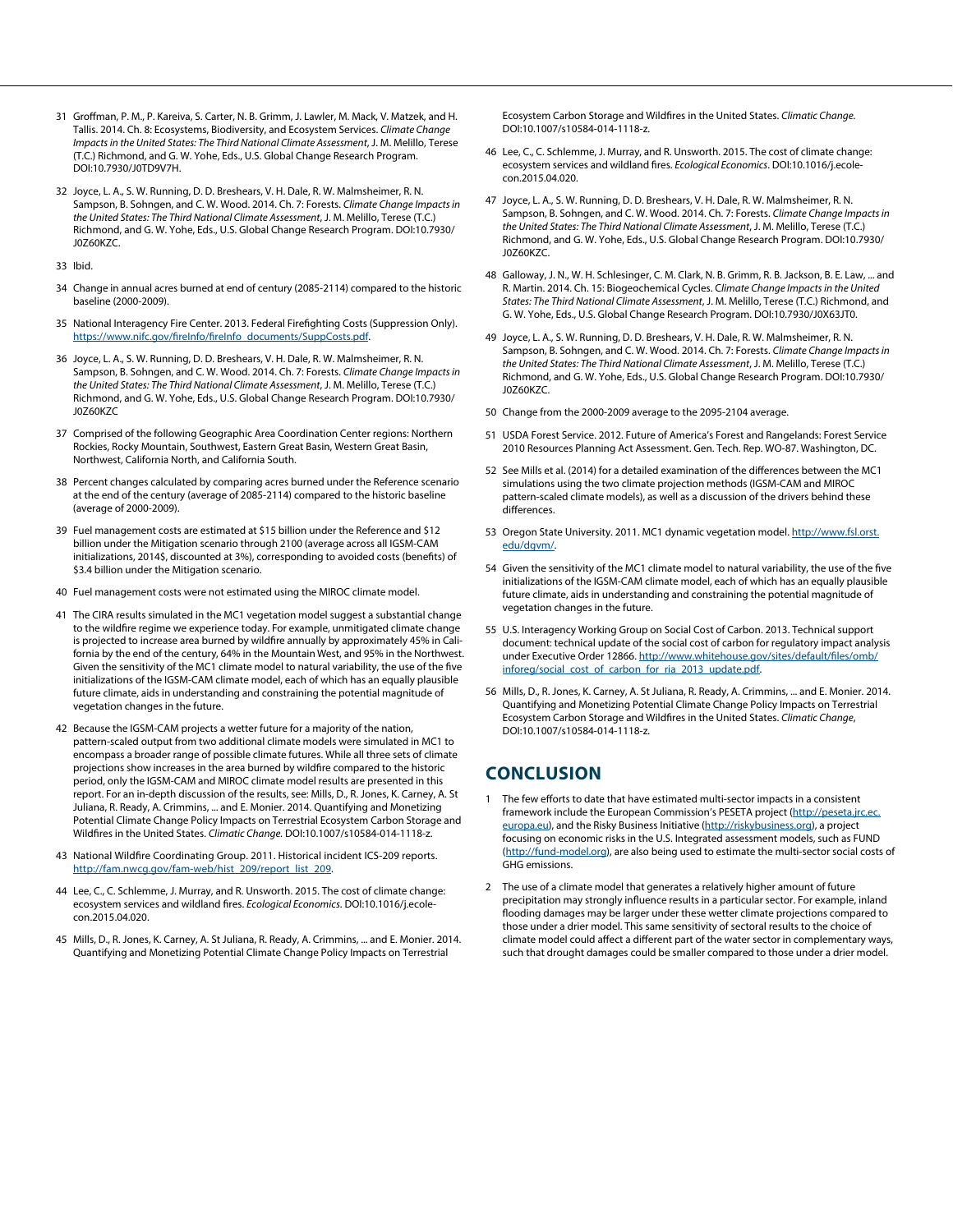- 31 Groffman, P. M., P. Kareiva, S. Carter, N. B. Grimm, J. Lawler, M. Mack, V. Matzek, and H. Tallis. 2014. Ch. 8: Ecosystems, Biodiversity, and Ecosystem Services. *Climate Change Impacts in the United States: The Third National Climate Assessment*, J. M. Melillo, Terese (T.C.) Richmond, and G. W. Yohe, Eds., U.S. Global Change Research Program. DOI:10.7930/J0TD9V7H.
- 32 Joyce, L. A., S. W. Running, D. D. Breshears, V. H. Dale, R. W. Malmsheimer, R. N. Sampson, B. Sohngen, and C. W. Wood. 2014. Ch. 7: Forests. *Climate Change Impacts in the United States: The Third National Climate Assessment*, J. M. Melillo, Terese (T.C.) Richmond, and G. W. Yohe, Eds., U.S. Global Change Research Program. DOI:10.7930/ J0Z60KZC.
- 33 Ibid.
- 34 Change in annual acres burned at end of century (2085-2114) compared to the historic baseline (2000-2009).
- 35 National Interagency Fire Center. 2013. Federal Firefighting Costs (Suppression Only). [https://www.nifc.gov/fireInfo/fireInfo\\_documents/SuppCosts.pdf.](https://www.nifc.gov/fireInfo/fireInfo_documents/SuppCosts.pdf)
- 36 Joyce, L. A., S. W. Running, D. D. Breshears, V. H. Dale, R. W. Malmsheimer, R. N. Sampson, B. Sohngen, and C. W. Wood. 2014. Ch. 7: Forests. *Climate Change Impacts in the United States: The Third National Climate Assessment*, J. M. Melillo, Terese (T.C.) Richmond, and G. W. Yohe, Eds., U.S. Global Change Research Program. DOI:10.7930/ J0Z60KZC
- 37 Comprised of the following Geographic Area Coordination Center regions: Northern Rockies, Rocky Mountain, Southwest, Eastern Great Basin, Western Great Basin, Northwest, California North, and California South.
- 38 Percent changes calculated by comparing acres burned under the Reference scenario at the end of the century (average of 2085-2114) compared to the historic baseline (average of 2000-2009).
- 39 Fuel management costs are estimated at \$15 billion under the Reference and \$12 billion under the Mitigation scenario through 2100 (average across all IGSM-CAM initializations, 2014\$, discounted at 3%), corresponding to avoided costs (benefits) of \$3.4 billion under the Mitigation scenario.
- 40 Fuel management costs were not estimated using the MIROC climate model.
- 41 The CIRA results simulated in the MC1 vegetation model suggest a substantial change to the wildfire regime we experience today. For example, unmitigated climate change is projected to increase area burned by wildfire annually by approximately 45% in California by the end of the century, 64% in the Mountain West, and 95% in the Northwest. Given the sensitivity of the MC1 climate model to natural variability, the use of the five initializations of the IGSM-CAM climate model, each of which has an equally plausible future climate, aids in understanding and constraining the potential magnitude of vegetation changes in the future.
- 42 Because the IGSM-CAM projects a wetter future for a majority of the nation, pattern-scaled output from two additional climate models were simulated in MC1 to encompass a broader range of possible climate futures. While all three sets of climate projections show increases in the area burned by wildfire compared to the historic period, only the IGSM-CAM and MIROC climate model results are presented in this report. For an in-depth discussion of the results, see: Mills, D., R. Jones, K. Carney, A. St Juliana, R. Ready, A. Crimmins, ... and E. Monier. 2014. Quantifying and Monetizing Potential Climate Change Policy Impacts on Terrestrial Ecosystem Carbon Storage and Wildfires in the United States. *Climatic Change.* DOI:10.1007/s10584-014-1118-z.
- 43 National Wildfire Coordinating Group. 2011. Historical incident ICS-209 reports. [http://fam.nwcg.gov/fam-web/hist\\_209/report\\_list\\_209.](http://fam.nwcg.gov/fam-web/hist_209/report_list_209)
- 44 Lee, C., C. Schlemme, J. Murray, and R. Unsworth. 2015. The cost of climate change: ecosystem services and wildland fires. *Ecological Economics*. DOI:10.1016/j.ecolecon.2015.04.020.
- 45 Mills, D., R. Jones, K. Carney, A. St Juliana, R. Ready, A. Crimmins, ... and E. Monier. 2014. Quantifying and Monetizing Potential Climate Change Policy Impacts on Terrestrial

Ecosystem Carbon Storage and Wildfires in the United States. *Climatic Change.* DOI:10.1007/s10584-014-1118-z.

- 46 Lee, C., C. Schlemme, J. Murray, and R. Unsworth. 2015. The cost of climate change: ecosystem services and wildland fires. *Ecological Economics*. DOI:10.1016/j.ecolecon.2015.04.020.
- 47 Joyce, L. A., S. W. Running, D. D. Breshears, V. H. Dale, R. W. Malmsheimer, R. N. Sampson, B. Sohngen, and C. W. Wood. 2014. Ch. 7: Forests. *Climate Change Impacts in the United States: The Third National Climate Assessment*, J. M. Melillo, Terese (T.C.) Richmond, and G. W. Yohe, Eds., U.S. Global Change Research Program. DOI:10.7930/ J0Z60KZC.
- 48 Galloway, J. N., W. H. Schlesinger, C. M. Clark, N. B. Grimm, R. B. Jackson, B. E. Law, ... and R. Martin. 2014. Ch. 15: Biogeochemical Cycles. C*limate Change Impacts in the United States: The Third National Climate Assessment*, J. M. Melillo, Terese (T.C.) Richmond, and G. W. Yohe, Eds., U.S. Global Change Research Program. DOI:10.7930/J0X63JT0.
- 49 Joyce, L. A., S. W. Running, D. D. Breshears, V. H. Dale, R. W. Malmsheimer, R. N. Sampson, B. Sohngen, and C. W. Wood. 2014. Ch. 7: Forests. *Climate Change Impacts in the United States: The Third National Climate Assessment*, J. M. Melillo, Terese (T.C.) Richmond, and G. W. Yohe, Eds., U.S. Global Change Research Program. DOI:10.7930/ J0Z60KZC.
- 50 Change from the 2000-2009 average to the 2095-2104 average.
- 51 USDA Forest Service. 2012. Future of America's Forest and Rangelands: Forest Service 2010 Resources Planning Act Assessment. Gen. Tech. Rep. WO-87. Washington, DC.
- 52 See Mills et al. (2014) for a detailed examination of the differences between the MC1 simulations using the two climate projection methods (IGSM-CAM and MIROC pattern-scaled climate models), as well as a discussion of the drivers behind these differences.
- 53 Oregon State University. 2011. MC1 dynamic vegetation model. [http://www.fsl.orst.](http://www.fsl.orst.edu/dgvm/) [edu/dgvm/](http://www.fsl.orst.edu/dgvm/).
- 54 Given the sensitivity of the MC1 climate model to natural variability, the use of the five initializations of the IGSM-CAM climate model, each of which has an equally plausible future climate, aids in understanding and constraining the potential magnitude of vegetation changes in the future.
- 55 U.S. Interagency Working Group on Social Cost of Carbon. 2013. Technical support document: technical update of the social cost of carbon for regulatory impact analysis under Executive Order 12866. [http://www.whitehouse.gov/sites/default/files/omb/](https://www.whitehouse.gov/sites/default/files/omb/inforeg/social_cost_of_carbon_for_ria_2013_update.pdf) [inforeg/social\\_cost\\_of\\_carbon\\_for\\_ria\\_2013\\_update.pdf](https://www.whitehouse.gov/sites/default/files/omb/inforeg/social_cost_of_carbon_for_ria_2013_update.pdf).
- 56 Mills, D., R. Jones, K. Carney, A. St Juliana, R. Ready, A. Crimmins, ... and E. Monier. 2014. Quantifying and Monetizing Potential Climate Change Policy Impacts on Terrestrial Ecosystem Carbon Storage and Wildfires in the United States. *Climatic Change*, DOI:10.1007/s10584-014-1118-z.

## **CONCLUSION**

- 1 The few efforts to date that have estimated multi-sector impacts in a consistent framework include the European Commission's PESETA project [\(http://peseta.jrc.ec.](http://peseta.jrc.ec.europa.eu) [europa.eu\)](http://peseta.jrc.ec.europa.eu), and the Risky Business Initiative [\(http://riskybusiness.org\)](http://riskybusiness.org), a project focusing on economic risks in the U.S. Integrated assessment models, such as FUND ([http://fund-model.org\)](http://fund-model.org), are also being used to estimate the multi-sector social costs of GHG emissions.
- 2 The use of a climate model that generates a relatively higher amount of future precipitation may strongly influence results in a particular sector. For example, inland flooding damages may be larger under these wetter climate projections compared to those under a drier model. This same sensitivity of sectoral results to the choice of climate model could affect a different part of the water sector in complementary ways, such that drought damages could be smaller compared to those under a drier model.